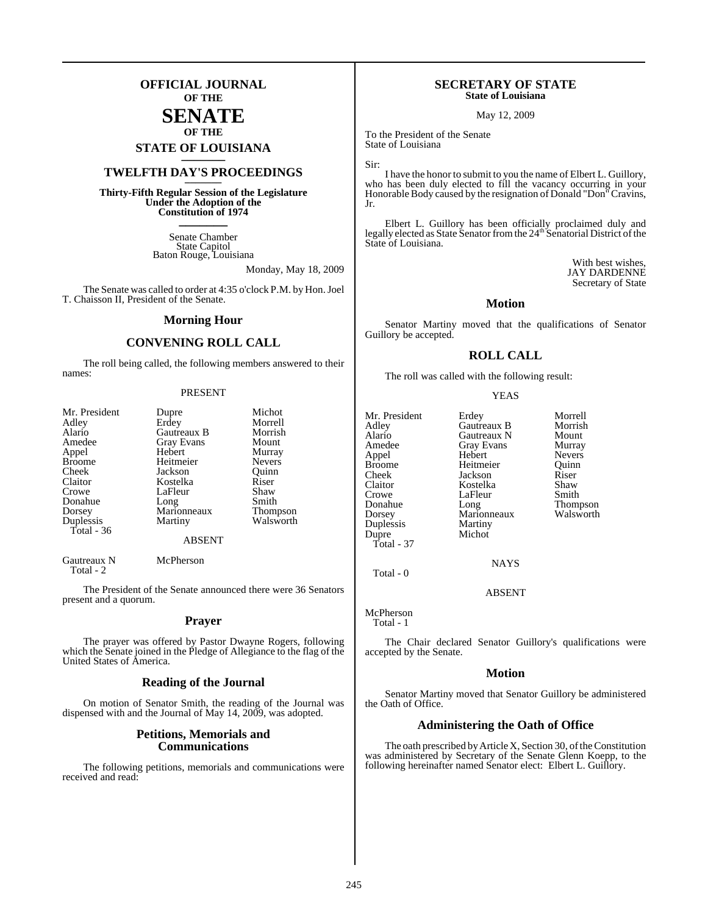## **OFFICIAL JOURNAL OF THE**

## **SENATE OF THE**

# **STATE OF LOUISIANA \_\_\_\_\_\_\_**

## **TWELFTH DAY'S PROCEEDINGS \_\_\_\_\_\_\_**

**Thirty-Fifth Regular Session of the Legislature Under the Adoption of the Constitution of 1974 \_\_\_\_\_\_\_**

> Senate Chamber State Capitol Baton Rouge, Louisiana

> > Monday, May 18, 2009

The Senate was called to order at 4:35 o'clock P.M. by Hon. Joel T. Chaisson II, President of the Senate.

#### **Morning Hour**

#### **CONVENING ROLL CALL**

The roll being called, the following members answered to their names:

#### PRESENT

| Mr. President | Dupre       | Michot          |
|---------------|-------------|-----------------|
| Adley         | Erdey       | Morrell         |
| Alario        | Gautreaux B | Morrish         |
| Amedee        | Gray Evans  | Mount           |
| Appel         | Hebert      | Murray          |
| <b>Broome</b> | Heitmeier   | <b>Nevers</b>   |
| Cheek         | Jackson     | Ouinn           |
| Claitor       | Kostelka    | Riser           |
| Crowe         | LaFleur     | Shaw            |
| Donahue       | Long        | Smith           |
| Dorsey        | Marionneaux | <b>Thompson</b> |
| Duplessis     | Martiny     | Walsworth       |
| Total - 36    |             |                 |
|               | ABSENT      |                 |
|               |             |                 |

Gautreaux N McPherson Total - 2

The President of the Senate announced there were 36 Senators present and a quorum.

#### **Prayer**

The prayer was offered by Pastor Dwayne Rogers, following which the Senate joined in the Pledge of Allegiance to the flag of the United States of America.

#### **Reading of the Journal**

On motion of Senator Smith, the reading of the Journal was dispensed with and the Journal of May 14, 2009, was adopted.

#### **Petitions, Memorials and Communications**

The following petitions, memorials and communications were received and read:

#### **SECRETARY OF STATE State of Louisiana**

May 12, 2009

To the President of the Senate State of Louisiana

Sir:

I have the honor to submit to you the name of Elbert L. Guillory, who has been duly elected to fill the vacancy occurring in your Honorable Body caused by the resignation of Donald "Don" Cravins, Jr.

Elbert L. Guillory has been officially proclaimed duly and legally elected as State Senator from the 24<sup>th</sup> Senatorial District of the State of Louisiana.

> With best wishes, JAY DARDENNE Secretary of State

### **Motion**

Senator Martiny moved that the qualifications of Senator Guillory be accepted.

#### **ROLL CALL**

The roll was called with the following result:

#### YEAS

Mr. President Erdey Morrell<br>Adley Gautreaux B Morrish Adley Gautreaux B Morrish Alario Gautreaux N Mount Appel Hebert Nevers<br>Broome Heitmeier Ouinn Broome Heitmeier Quinn<br>
Cheek Jackson Riser Cheek Jackson Riser<br>Claitor Kostelka Shaw Claitor Kostelka Shaw Crowe LaFleur<br>Donahue Long Donahue Long Thompson Duplessis<br>Dupre Total - 37

Gray Evans Murray<br>
Hebert Nevers Marionneaux<br>Martiny Michot

**NAYS** 

ABSENT

McPherson Total - 1

Total - 0

The Chair declared Senator Guillory's qualifications were accepted by the Senate.

#### **Motion**

Senator Martiny moved that Senator Guillory be administered the Oath of Office.

#### **Administering the Oath of Office**

The oath prescribed by Article X, Section 30, of the Constitution was administered by Secretary of the Senate Glenn Koepp, to the following hereinafter named Senator elect: Elbert L. Guillory.

245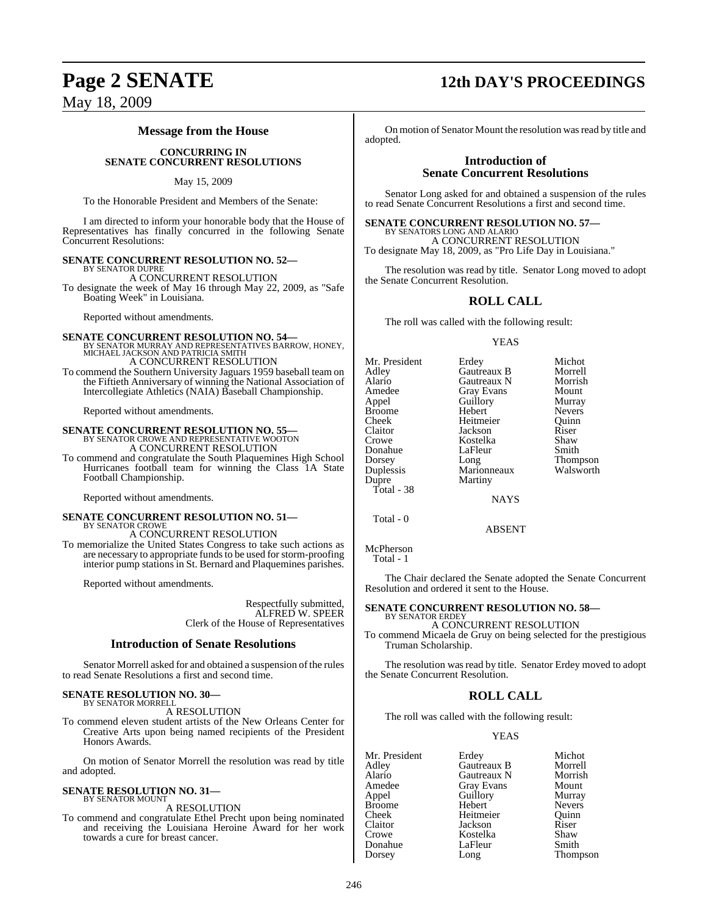#### **Message from the House**

#### **CONCURRING IN SENATE CONCURRENT RESOLUTIONS**

May 15, 2009

To the Honorable President and Members of the Senate:

I am directed to inform your honorable body that the House of Representatives has finally concurred in the following Senate Concurrent Resolutions:

# **SENATE CONCURRENT RESOLUTION NO. 52—** BY SENATOR DUPRE

A CONCURRENT RESOLUTION

To designate the week of May 16 through May 22, 2009, as "Safe Boating Week" in Louisiana.

Reported without amendments.

#### **SENATE CONCURRENT RESOLUTION NO. 54—** BY SENATOR MURRAY AND REPRESENTATIVES BARROW, HONEY, MICHAEL JACKSON AND PATRICIA SMITH A CONCURRENT RESOLUTION

To commend the Southern University Jaguars 1959 baseball team on the Fiftieth Anniversary of winning the National Association of Intercollegiate Athletics (NAIA) Baseball Championship.

Reported without amendments.

# **SENATE CONCURRENT RESOLUTION NO. 55—** BY SENATOR CROWE AND REPRESENTATIVE WOOTON

A CONCURRENT RESOLUTION

To commend and congratulate the South Plaquemines High School Hurricanes football team for winning the Class 1A State Football Championship.

Reported without amendments.

## **SENATE CONCURRENT RESOLUTION NO. 51—** BY SENATOR CROWE

A CONCURRENT RESOLUTION

To memorialize the United States Congress to take such actions as are necessary to appropriate funds to be used for storm-proofing interior pump stations in St. Bernard and Plaquemines parishes.

Reported without amendments.

Respectfully submitted, ALFRED W. SPEER Clerk of the House of Representatives

#### **Introduction of Senate Resolutions**

Senator Morrell asked for and obtained a suspension of the rules to read Senate Resolutions a first and second time.

#### **SENATE RESOLUTION NO. 30—** BY SENATOR MORRELL

A RESOLUTION

To commend eleven student artists of the New Orleans Center for Creative Arts upon being named recipients of the President Honors Awards.

On motion of Senator Morrell the resolution was read by title and adopted.

## **SENATE RESOLUTION NO. 31—**<br>BY SENATOR MOUNT

A RESOLUTION

To commend and congratulate Ethel Precht upon being nominated and receiving the Louisiana Heroine Award for her work towards a cure for breast cancer.

## **Page 2 SENATE 12th DAY'S PROCEEDINGS**

On motion of Senator Mount the resolution was read by title and adopted.

#### **Introduction of Senate Concurrent Resolutions**

Senator Long asked for and obtained a suspension of the rules to read Senate Concurrent Resolutions a first and second time.

**SENATE CONCURRENT RESOLUTION NO. 57—**<br>BY SENATORS LONG AND ALARIO<br>A CONCURRENT RESOLUTION

To designate May 18, 2009, as "Pro Life Day in Louisiana."

The resolution was read by title. Senator Long moved to adopt the Senate Concurrent Resolution.

## **ROLL CALL**

The roll was called with the following result:

#### YEAS

| Mr. President |                   | Michot          |
|---------------|-------------------|-----------------|
|               | Erdey             |                 |
| Adley         | Gautreaux B       | Morrell         |
| Alario        | Gautreaux N       | Morrish         |
| Amedee        | <b>Gray Evans</b> | Mount           |
| Appel         | Guillory          | Murray          |
| <b>Broome</b> | Hebert            | <b>Nevers</b>   |
| Cheek         | Heitmeier         | Ouinn           |
| Claitor       | Jackson           | Riser           |
| Crowe         | Kostelka          | Shaw            |
| Donahue       | LaFleur           | Smith           |
| Dorsey        | Long              | <b>Thompson</b> |
| Duplessis     | Marionneaux       | Walsworth       |
| Dupre         | Martiny           |                 |
| Total - 38    |                   |                 |
|               | <b>NTANZO</b>     |                 |

Total - 0

McPherson Total - 1

The Chair declared the Senate adopted the Senate Concurrent Resolution and ordered it sent to the House.

NAYS

ABSENT

#### **SENATE CONCURRENT RESOLUTION NO. 58—** BY SENATOR ERDEY

A CONCURRENT RESOLUTION

To commend Micaela de Gruy on being selected for the prestigious Truman Scholarship.

The resolution was read by title. Senator Erdey moved to adopt the Senate Concurrent Resolution.

## **ROLL CALL**

The roll was called with the following result:

#### YEAS

|                   | Michot          |
|-------------------|-----------------|
| Gautreaux B       | Morrell         |
| Gautreaux N       | Morrish         |
| <b>Gray Evans</b> | Mount           |
| Guillory          | Murray          |
| Hebert            | <b>Nevers</b>   |
| Heitmeier         | Ouinn           |
| Jackson           | Riser           |
| Kostelka          | Shaw            |
| LaFleur           | Smith           |
| Long              | <b>Thompson</b> |
|                   | Erdey           |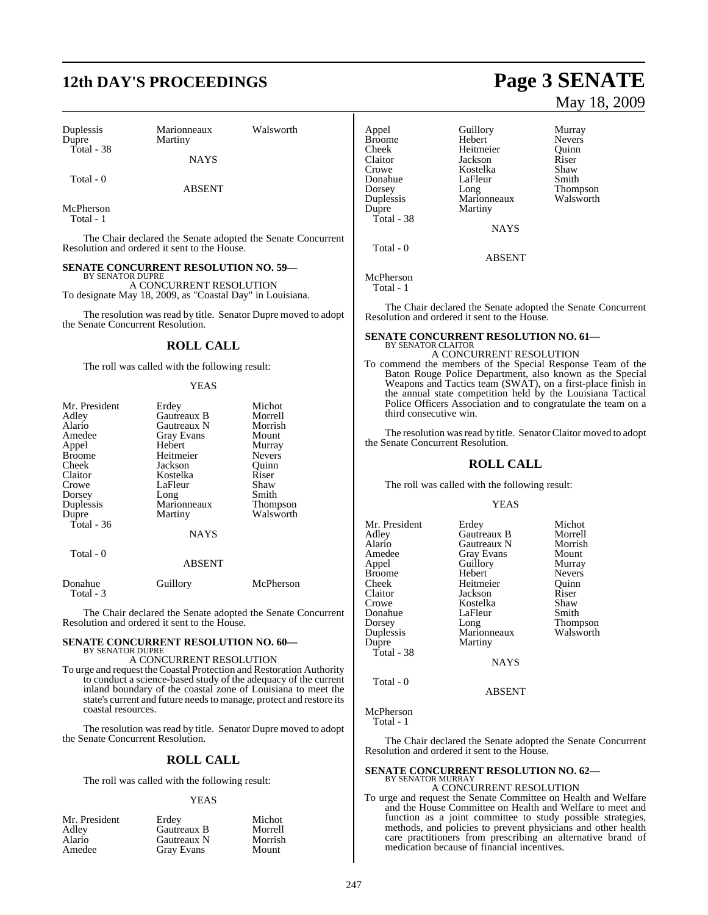# **12th DAY'S PROCEEDINGS Page 3 SENATE**

Duplessis Marionneaux Walsworth Dupre Martiny Total - 38

**NAYS** 

Total - 0

ABSENT

McPherson Total - 1

The Chair declared the Senate adopted the Senate Concurrent Resolution and ordered it sent to the House.

#### **SENATE CONCURRENT RESOLUTION NO. 59—**

BY SENATOR DUPRE A CONCURRENT RESOLUTION To designate May 18, 2009, as "Coastal Day" in Louisiana.

The resolution was read by title. Senator Dupre moved to adopt the Senate Concurrent Resolution.

#### **ROLL CALL**

The roll was called with the following result:

#### YEAS

| Mr. President | Erdey             | Michot                        |
|---------------|-------------------|-------------------------------|
| Adley         | Gautreaux B       | Morrell                       |
| Alario        | Gautreaux N       | Morrish                       |
| Amedee        | <b>Gray Evans</b> | Mount                         |
| Appel         | Hebert            | Murray                        |
| <b>Broome</b> | Heitmeier         | <b>Nevers</b>                 |
| Cheek         | Jackson           | Ouinn                         |
| Claitor       | Kostelka          | Riser                         |
| Crowe         | LaFleur           | Shaw                          |
| Dorsey        | Long              | Smith                         |
| Duplessis     | Marionneaux       | <b>Thompson</b>               |
| Dupre         | Martiny           | Walsworth                     |
| Total - 36    |                   |                               |
|               | <b>NAYS</b>       |                               |
| Total - 0     |                   |                               |
|               | <b>ABSENT</b>     |                               |
| $\sim$        |                   | $\mathbf{r}$ and $\mathbf{r}$ |

| Donahue   | Guillory | McPherson |
|-----------|----------|-----------|
| Total - 3 |          |           |

The Chair declared the Senate adopted the Senate Concurrent Resolution and ordered it sent to the House.

#### **SENATE CONCURRENT RESOLUTION NO. 60—** BY SENATOR DUPRE

A CONCURRENT RESOLUTION

To urge and request theCoastal Protection and Restoration Authority to conduct a science-based study of the adequacy of the current inland boundary of the coastal zone of Louisiana to meet the state's current and future needsto manage, protect and restore its coastal resources.

The resolution was read by title. Senator Dupre moved to adopt the Senate Concurrent Resolution.

#### **ROLL CALL**

The roll was called with the following result:

#### YEAS

| Mr. President | Erdev       | Michot  |
|---------------|-------------|---------|
| Adley         | Gautreaux B | Morrell |
| Alario        | Gautreaux N | Morrish |
| Amedee        | Gray Evans  | Mount   |

# May 18, 2009

Appel Guillory Murray Broome Hebert Nevers<br>Cheek Heitmeier Ouinn Cheek Heitmeier Quinn Claitor Jackson Riser<br>Crowe Kostelka Shaw Kostelka Shaw<br>LaFleur Smith Donahue LaFleur Smith<br>Dorsey Long Thompson Dorsey Long Thompson Duplessis Marionneaux Walsworth Dupre Martiny Total - 38 **NAYS** 

**ABSENT** 

## McPherson

Total - 0

Total - 1

The Chair declared the Senate adopted the Senate Concurrent Resolution and ordered it sent to the House.

## **SENATE CONCURRENT RESOLUTION NO. 61—** BY SENATOR CLAITOR A CONCURRENT RESOLUTION

To commend the members of the Special Response Team of the Baton Rouge Police Department, also known as the Special Weapons and Tactics team (SWAT), on a first-place finish in the annual state competition held by the Louisiana Tactical

Police Officers Association and to congratulate the team on a

The resolution was read by title. Senator Claitor moved to adopt the Senate Concurrent Resolution.

#### **ROLL CALL**

The roll was called with the following result:

third consecutive win.

#### YEAS

| Mr. President | Erdey       | Michot        |
|---------------|-------------|---------------|
| Adley         | Gautreaux B | Morrell       |
| Alario        | Gautreaux N | Morrish       |
| Amedee        | Gray Evans  | Mount         |
| Appel         | Guillory    | Murray        |
| Broome        | Hebert      | <b>Nevers</b> |
| Cheek         | Heitmeier   | Ouinn         |
| Claitor       | Jackson     | Riser         |
| Crowe         | Kostelka    | Shaw          |
| Donahue       | LaFleur     | Smith         |
| Dorsey        | Long        | Thompson      |
| Duplessis     | Marionneaux | Walsworth     |
| Dupre         | Martiny     |               |
| Total - 38    |             |               |
|               | <b>NAYS</b> |               |
| Total - 0     |             |               |

ABSENT

McPherson

Total - 1

The Chair declared the Senate adopted the Senate Concurrent Resolution and ordered it sent to the House.

## **SENATE CONCURRENT RESOLUTION NO. 62—** BY SENATOR MURRAY

A CONCURRENT RESOLUTION

To urge and request the Senate Committee on Health and Welfare and the House Committee on Health and Welfare to meet and function as a joint committee to study possible strategies, methods, and policies to prevent physicians and other health care practitioners from prescribing an alternative brand of medication because of financial incentives.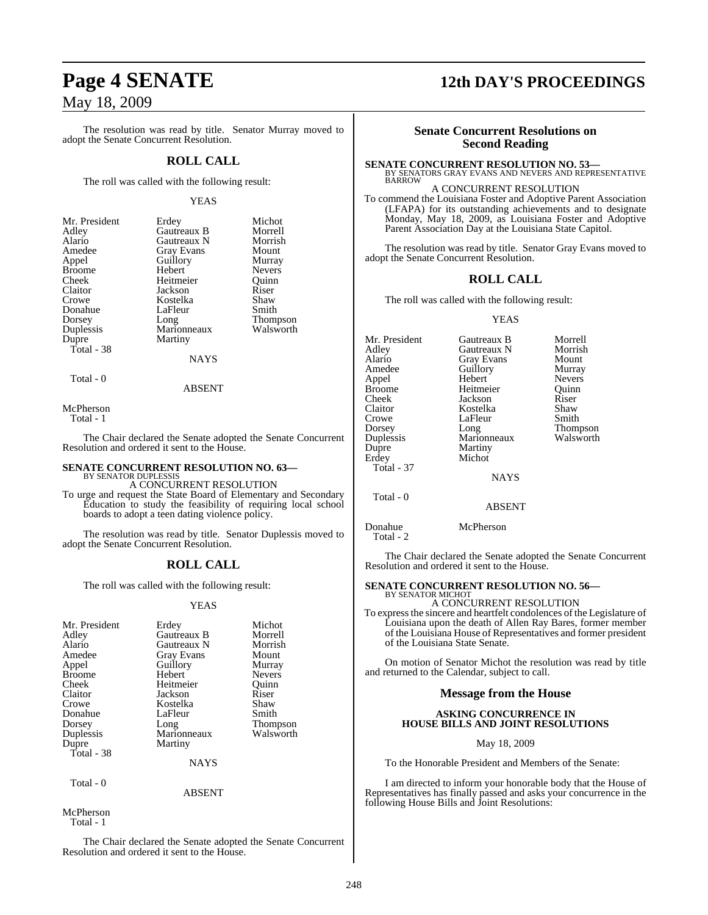The resolution was read by title. Senator Murray moved to adopt the Senate Concurrent Resolution.

#### **ROLL CALL**

The roll was called with the following result:

#### YEAS

| Mr. President | Erdey       | Michot          |
|---------------|-------------|-----------------|
| Adley         | Gautreaux B | Morrell         |
| Alario        | Gautreaux N | Morrish         |
| Amedee        | Gray Evans  | Mount           |
| Appel         | Guillory    | Murray          |
| <b>Broome</b> | Hebert      | <b>Nevers</b>   |
| Cheek         | Heitmeier   | Ouinn           |
| Claitor       | Jackson     | Riser           |
| Crowe         | Kostelka    | Shaw            |
| Donahue       | LaFleur     | Smith           |
| Dorsey        | Long        | <b>Thompson</b> |
| Duplessis     | Marionneaux | Walsworth       |
| Dupre         | Martiny     |                 |
| Total - 38    |             |                 |
|               | NAYS        |                 |

Total - 0

ABSENT

McPherson

Total - 1

The Chair declared the Senate adopted the Senate Concurrent Resolution and ordered it sent to the House.

## **SENATE CONCURRENT RESOLUTION NO. 63—** BY SENATOR DUPLESSIS

A CONCURRENT RESOLUTION

To urge and request the State Board of Elementary and Secondary Education to study the feasibility of requiring local school boards to adopt a teen dating violence policy.

The resolution was read by title. Senator Duplessis moved to adopt the Senate Concurrent Resolution.

## **ROLL CALL**

The roll was called with the following result:

#### YEAS

| Mr. President  | Erdey             | Michot          |
|----------------|-------------------|-----------------|
| Adley          | Gautreaux B       | Morrell         |
| Alario         | Gautreaux N       | Morrish         |
| Amedee         | <b>Gray Evans</b> | Mount           |
| Appel          | Guillory          | Murray          |
| <b>Broome</b>  | Hebert            | <b>Nevers</b>   |
| Cheek          | Heitmeier         | Quinn           |
| Claitor        | Jackson           | Riser           |
| Crowe          | Kostelka          | Shaw            |
| Donahue        | LaFleur           | Smith           |
| Dorsey         | Long              | <b>Thompson</b> |
| Duplessis      | Marionneaux       | Walsworth       |
| Dupre          | Martiny           |                 |
| Total - 38     |                   |                 |
|                | <b>NAYS</b>       |                 |
| $T-1$ $\Omega$ |                   |                 |

Total - 0

ABSENT

McPherson Total - 1

The Chair declared the Senate adopted the Senate Concurrent Resolution and ordered it sent to the House.

# **Page 4 SENATE 12th DAY'S PROCEEDINGS**

#### **Senate Concurrent Resolutions on Second Reading**

**SENATE CONCURRENT RESOLUTION NO. 53—** BY SENATORS GRAY EVANS AND NEVERS AND REPRESENTATIVE BARROW

#### A CONCURRENT RESOLUTION

To commend the Louisiana Foster and Adoptive Parent Association (LFAPA) for its outstanding achievements and to designate Monday, May 18, 2009, as Louisiana Foster and Adoptive Parent Association Day at the Louisiana State Capitol.

The resolution was read by title. Senator Gray Evans moved to adopt the Senate Concurrent Resolution.

#### **ROLL CALL**

The roll was called with the following result:

#### YEAS

| Mr. President     | Gautreaux B       | Morrell       |
|-------------------|-------------------|---------------|
| Adley             | Gautreaux N       | Morrish       |
| Alario            | <b>Gray Evans</b> | Mount         |
| Amedee            | Guillory          | Murray        |
| Appel             | Hebert            | <b>Nevers</b> |
| <b>Broome</b>     | Heitmeier         | Ouinn         |
| Cheek             | Jackson           | Riser         |
| Claitor           | Kostelka          | Shaw          |
| Crowe             | LaFleur           | Smith         |
| Dorsey            | Long              | Thompson      |
| Duplessis         | Marionneaux       | Walsworth     |
| Dupre             | Martiny           |               |
| Erdey             | Michot            |               |
| <b>Total - 37</b> |                   |               |
|                   | <b>NAYS</b>       |               |
| Total - 0         |                   |               |
|                   | <b>ABSENT</b>     |               |
|                   |                   |               |

Donahue McPherson Total - 2

The Chair declared the Senate adopted the Senate Concurrent Resolution and ordered it sent to the House.

## **SENATE CONCURRENT RESOLUTION NO. 56—** BY SENATOR MICHOT

A CONCURRENT RESOLUTION To express the sincere and heartfelt condolences of the Legislature of Louisiana upon the death of Allen Ray Bares, former member of the Louisiana House of Representatives and former president of the Louisiana State Senate.

On motion of Senator Michot the resolution was read by title and returned to the Calendar, subject to call.

#### **Message from the House**

#### **ASKING CONCURRENCE IN HOUSE BILLS AND JOINT RESOLUTIONS**

May 18, 2009

To the Honorable President and Members of the Senate:

I am directed to inform your honorable body that the House of Representatives has finally passed and asks your concurrence in the following House Bills and Joint Resolutions: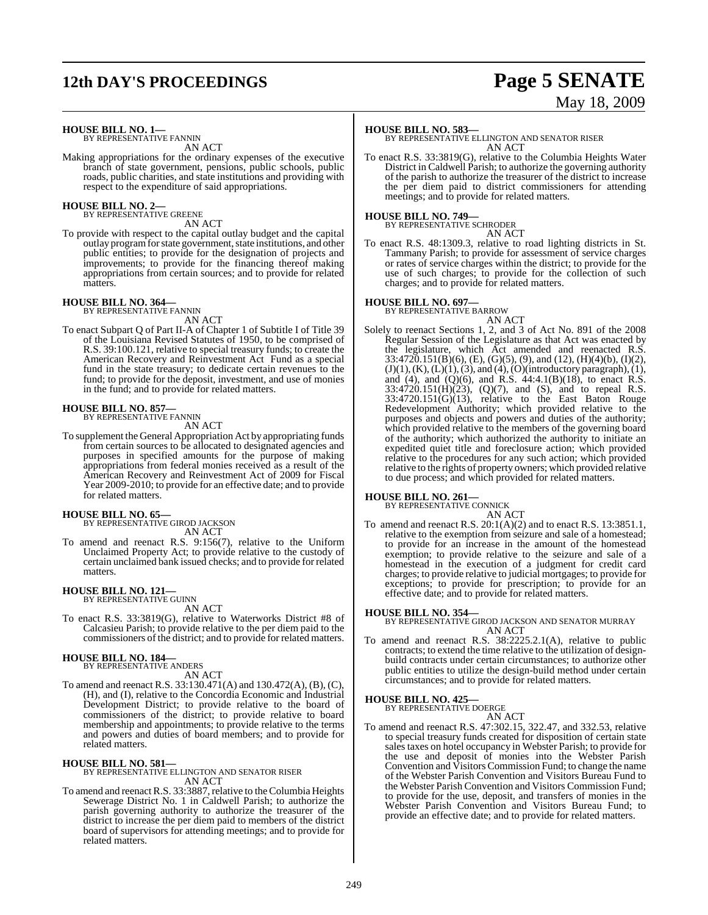# **12th DAY'S PROCEEDINGS Page 5 SENATE**

# May 18, 2009

**HOUSE BILL NO. 1—** BY REPRESENTATIVE FANNIN

AN ACT

Making appropriations for the ordinary expenses of the executive branch of state government, pensions, public schools, public roads, public charities, and state institutions and providing with respect to the expenditure of said appropriations.

## **HOUSE BILL NO. 2—** BY REPRESENTATIVE GREENE

AN ACT

To provide with respect to the capital outlay budget and the capital outlay program for state government, state institutions, and other public entities; to provide for the designation of projects and improvements; to provide for the financing thereof making appropriations from certain sources; and to provide for related matters.

## **HOUSE BILL NO. 364—** BY REPRESENTATIVE FANNIN

AN ACT

To enact Subpart Q of Part II-A of Chapter 1 of Subtitle I of Title 39 of the Louisiana Revised Statutes of 1950, to be comprised of R.S. 39:100.121, relative to special treasury funds; to create the American Recovery and Reinvestment Act Fund as a special fund in the state treasury; to dedicate certain revenues to the fund; to provide for the deposit, investment, and use of monies in the fund; and to provide for related matters.

## **HOUSE BILL NO. 857—** BY REPRESENTATIVE FANNIN

AN ACT

To supplement the General Appropriation Act by appropriating funds from certain sources to be allocated to designated agencies and purposes in specified amounts for the purpose of making appropriations from federal monies received as a result of the American Recovery and Reinvestment Act of 2009 for Fiscal Year 2009-2010; to provide for an effective date; and to provide for related matters.

#### **HOUSE BILL NO. 65—**

BY REPRESENTATIVE GIROD JACKSON AN ACT

To amend and reenact R.S. 9:156(7), relative to the Uniform Unclaimed Property Act; to provide relative to the custody of certain unclaimed bank issued checks; and to provide for related matters.

#### **HOUSE BILL NO. 121—**

BY REPRESENTATIVE GUINN AN ACT

To enact R.S. 33:3819(G), relative to Waterworks District #8 of Calcasieu Parish; to provide relative to the per diem paid to the commissioners of the district; and to provide for related matters.

#### **HOUSE BILL NO. 184—**

BY REPRESENTATIVE ANDERS AN ACT

To amend and reenact R.S. 33:130.471(A) and 130.472(A), (B), (C), (H), and (I), relative to the Concordia Economic and Industrial Development District; to provide relative to the board of commissioners of the district; to provide relative to board membership and appointments; to provide relative to the terms and powers and duties of board members; and to provide for related matters.

**HOUSE BILL NO. 581—** BY REPRESENTATIVE ELLINGTON AND SENATOR RISER AN ACT

To amend and reenact R.S. 33:3887, relative to the Columbia Heights Sewerage District No. 1 in Caldwell Parish; to authorize the parish governing authority to authorize the treasurer of the district to increase the per diem paid to members of the district board of supervisors for attending meetings; and to provide for related matters.

#### **HOUSE BILL NO. 583—**

BY REPRESENTATIVE ELLINGTON AND SENATOR RISER AN ACT

To enact R.S. 33:3819(G), relative to the Columbia Heights Water District in Caldwell Parish; to authorize the governing authority of the parish to authorize the treasurer of the district to increase the per diem paid to district commissioners for attending meetings; and to provide for related matters.

#### **HOUSE BILL NO. 749—**

BY REPRESENTATIVE SCHRODER AN ACT

To enact R.S. 48:1309.3, relative to road lighting districts in St. Tammany Parish; to provide for assessment of service charges or rates of service charges within the district; to provide for the use of such charges; to provide for the collection of such charges; and to provide for related matters.

## **HOUSE BILL NO. 697—** BY REPRESENTATIVE BARROW

AN ACT

Solely to reenact Sections 1, 2, and 3 of Act No. 891 of the 2008 Regular Session of the Legislature as that Act was enacted by the legislature, which Act amended and reenacted R.S.  $33:4720.151(B)(6)$ , (E), (G)(5), (9), and (12), (H)(4)(b), (I)(2),  $(J)(1)$ ,  $(K)$ ,  $(L)(1)$ ,  $(3)$ , and  $(4)$ ,  $(O)(introductory$  paragraph), $(1)$ , and (4), and (Q)(6), and R.S.  $44:4.1(B)(18)$ , to enact R.S.  $33:4720.151(H)(23)$ ,  $(Q)(7)$ , and  $(S)$ , and to repeal R.S.  $33:4720.151(G)(13)$ , relative to the East Baton Rouge Redevelopment Authority; which provided relative to the purposes and objects and powers and duties of the authority; which provided relative to the members of the governing board of the authority; which authorized the authority to initiate an expedited quiet title and foreclosure action; which provided relative to the procedures for any such action; which provided relative to the rights of property owners; which provided relative to due process; and which provided for related matters.

#### **HOUSE BILL NO. 261—**

BY REPRESENTATIVE CONNICK AN ACT

To amend and reenact R.S. 20:1(A)(2) and to enact R.S. 13:3851.1, relative to the exemption from seizure and sale of a homestead; to provide for an increase in the amount of the homestead exemption; to provide relative to the seizure and sale of a homestead in the execution of a judgment for credit card charges; to provide relative to judicial mortgages; to provide for exceptions; to provide for prescription; to provide for an effective date; and to provide for related matters.

**HOUSE BILL NO. 354—** BY REPRESENTATIVE GIROD JACKSON AND SENATOR MURRAY AN ACT

To amend and reenact R.S. 38:2225.2.1(A), relative to public contracts; to extend the time relative to the utilization of designbuild contracts under certain circumstances; to authorize other public entities to utilize the design-build method under certain circumstances; and to provide for related matters.

## **HOUSE BILL NO. 425—** BY REPRESENTATIVE DOERGE

AN ACT

To amend and reenact R.S. 47:302.15, 322.47, and 332.53, relative to special treasury funds created for disposition of certain state sales taxes on hotel occupancy in Webster Parish; to provide for the use and deposit of monies into the Webster Parish Convention and Visitors Commission Fund; to change the name of the Webster Parish Convention and Visitors Bureau Fund to the Webster Parish Convention and Visitors Commission Fund; to provide for the use, deposit, and transfers of monies in the Webster Parish Convention and Visitors Bureau Fund; to provide an effective date; and to provide for related matters.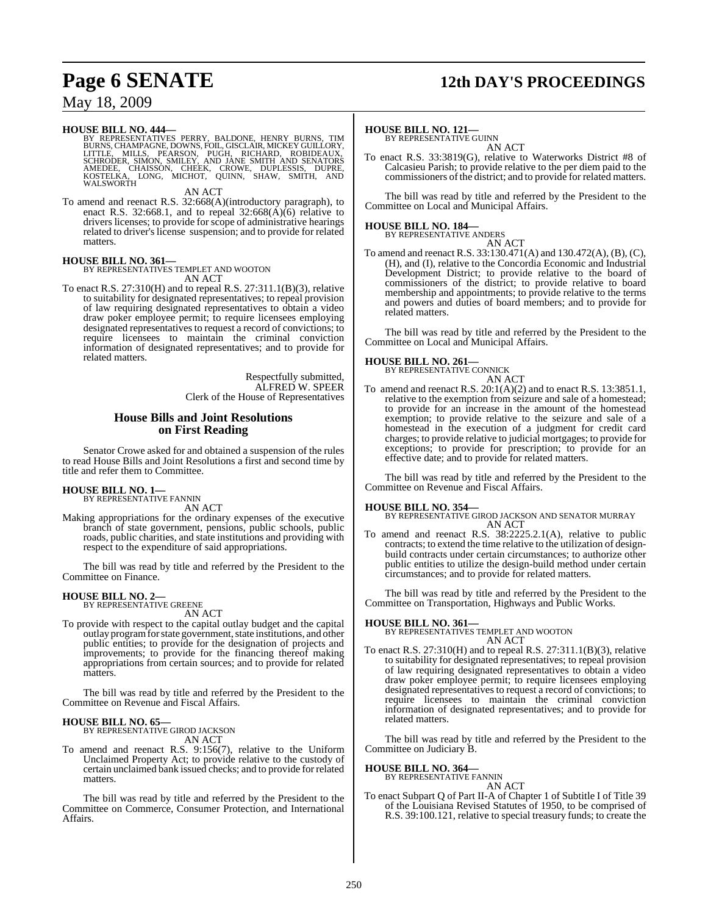# **Page 6 SENATE 12th DAY'S PROCEEDINGS**

## May 18, 2009

**HOUSE BILL NO. 444—**<br>BY REPRESENTATIVES PERRY, BALDONE, HENRY BURNS, TIM<br>BURNS, CHAMPAGNE, DOWNS, FOIL, GISCLAIR, MICKEY GUILLORY,<br>LITTLE, MILLS, PEARSON, PUGH, RICHARD, ROBIDEAUX,<br>SCHRODER, SIMON, SMILEY, AND JANE SMITH

AN ACT

To amend and reenact R.S. 32:668(A)(introductory paragraph), to enact R.S. 32:668.1, and to repeal  $32:668(\text{\AA})(6)$  relative to drivers licenses; to provide for scope of administrative hearings related to driver's license suspension; and to provide for related matters.

## **HOUSE BILL NO. 361—** BY REPRESENTATIVES TEMPLET AND WOOTON

AN ACT

To enact R.S. 27:310(H) and to repeal R.S. 27:311.1(B)(3), relative to suitability for designated representatives; to repeal provision of law requiring designated representatives to obtain a video draw poker employee permit; to require licensees employing designated representatives to request a record of convictions; to require licensees to maintain the criminal conviction information of designated representatives; and to provide for related matters.

> Respectfully submitted, ALFRED W. SPEER Clerk of the House of Representatives

#### **House Bills and Joint Resolutions on First Reading**

Senator Crowe asked for and obtained a suspension of the rules to read House Bills and Joint Resolutions a first and second time by title and refer them to Committee.

#### **HOUSE BILL NO. 1—**

BY REPRESENTATIVE FANNIN AN ACT

Making appropriations for the ordinary expenses of the executive branch of state government, pensions, public schools, public roads, public charities, and state institutions and providing with respect to the expenditure of said appropriations.

The bill was read by title and referred by the President to the Committee on Finance.

## **HOUSE BILL NO. 2—** BY REPRESENTATIVE GREENE

AN ACT

To provide with respect to the capital outlay budget and the capital outlay program for state government, state institutions, and other public entities; to provide for the designation of projects and improvements; to provide for the financing thereof making appropriations from certain sources; and to provide for related matters.

The bill was read by title and referred by the President to the Committee on Revenue and Fiscal Affairs.

#### **HOUSE BILL NO. 65—**

BY REPRESENTATIVE GIROD JACKSON

- AN ACT
- To amend and reenact R.S. 9:156(7), relative to the Uniform Unclaimed Property Act; to provide relative to the custody of certain unclaimed bank issued checks; and to provide for related matters.

The bill was read by title and referred by the President to the Committee on Commerce, Consumer Protection, and International Affairs.

#### **HOUSE BILL NO. 121—**

BY REPRESENTATIVE GUINN AN ACT

To enact R.S. 33:3819(G), relative to Waterworks District #8 of Calcasieu Parish; to provide relative to the per diem paid to the commissioners of the district; and to provide for related matters.

The bill was read by title and referred by the President to the Committee on Local and Municipal Affairs.

## **HOUSE BILL NO. 184—** BY REPRESENTATIVE ANDERS

AN ACT

To amend and reenact R.S. 33:130.471(A) and 130.472(A), (B), (C), (H), and (I), relative to the Concordia Economic and Industrial Development District; to provide relative to the board of commissioners of the district; to provide relative to board membership and appointments; to provide relative to the terms and powers and duties of board members; and to provide for related matters.

The bill was read by title and referred by the President to the Committee on Local and Municipal Affairs.

**HOUSE BILL NO. 261—** BY REPRESENTATIVE CONNICK AN ACT

To amend and reenact R.S. 20:1(A)(2) and to enact R.S. 13:3851.1, relative to the exemption from seizure and sale of a homestead; to provide for an increase in the amount of the homestead exemption; to provide relative to the seizure and sale of a homestead in the execution of a judgment for credit card charges; to provide relative to judicial mortgages; to provide for exceptions; to provide for prescription; to provide for an effective date; and to provide for related matters.

The bill was read by title and referred by the President to the Committee on Revenue and Fiscal Affairs.

**HOUSE BILL NO. 354—** BY REPRESENTATIVE GIROD JACKSON AND SENATOR MURRAY AN ACT

To amend and reenact R.S. 38:2225.2.1(A), relative to public contracts; to extend the time relative to the utilization of designbuild contracts under certain circumstances; to authorize other public entities to utilize the design-build method under certain circumstances; and to provide for related matters.

The bill was read by title and referred by the President to the Committee on Transportation, Highways and Public Works.

#### **HOUSE BILL NO. 361—**

BY REPRESENTATIVES TEMPLET AND WOOTON AN ACT

To enact R.S. 27:310(H) and to repeal R.S. 27:311.1(B)(3), relative to suitability for designated representatives; to repeal provision of law requiring designated representatives to obtain a video draw poker employee permit; to require licensees employing designated representatives to request a record of convictions; to require licensees to maintain the criminal conviction information of designated representatives; and to provide for related matters.

The bill was read by title and referred by the President to the Committee on Judiciary B.

#### **HOUSE BILL NO. 364—**

BY REPRESENTATIVE FANNIN

AN ACT To enact Subpart Q of Part II-A of Chapter 1 of Subtitle I of Title 39 of the Louisiana Revised Statutes of 1950, to be comprised of R.S. 39:100.121, relative to special treasury funds; to create the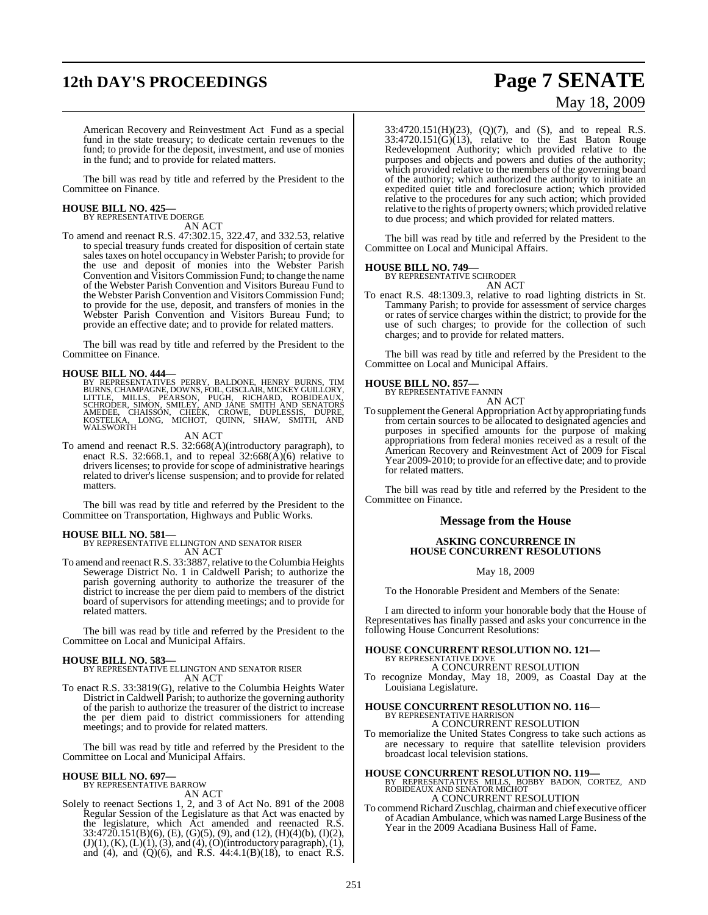# **12th DAY'S PROCEEDINGS Page 7 SENATE**

# May 18, 2009

American Recovery and Reinvestment Act Fund as a special fund in the state treasury; to dedicate certain revenues to the fund; to provide for the deposit, investment, and use of monies in the fund; and to provide for related matters.

The bill was read by title and referred by the President to the Committee on Finance.

# **HOUSE BILL NO. 425—** BY REPRESENTATIVE DOERGE

AN ACT

To amend and reenact R.S. 47:302.15, 322.47, and 332.53, relative to special treasury funds created for disposition of certain state sales taxes on hotel occupancy in Webster Parish; to provide for the use and deposit of monies into the Webster Parish Convention and Visitors Commission Fund; to change the name of the Webster Parish Convention and Visitors Bureau Fund to the Webster Parish Convention and Visitors Commission Fund; to provide for the use, deposit, and transfers of monies in the Webster Parish Convention and Visitors Bureau Fund; to provide an effective date; and to provide for related matters.

The bill was read by title and referred by the President to the Committee on Finance.

**HOUSE BILL NO. 444—**<br>BY REPRESENTATIVES PERRY, BALDONE, HENRY BURNS, TIM<br>BURNS, CHAMPAGNE, DOWNS, FOIL, GISCLAIR, MICKEY GUILLORY,<br>LITTLE, MILLS, PEARSON, PUGH, RICHARD, ROBIDEAUX,<br>SCHRODER, SIMON, SMILEY, AND JANE SMITH WALSWORTH

#### AN ACT

To amend and reenact R.S. 32:668(A)(introductory paragraph), to enact R.S. 32:668.1, and to repeal  $32:668(\text{\AA})(6)$  relative to drivers licenses; to provide for scope of administrative hearings related to driver's license suspension; and to provide for related matters.

The bill was read by title and referred by the President to the Committee on Transportation, Highways and Public Works.

**HOUSE BILL NO. 581—** BY REPRESENTATIVE ELLINGTON AND SENATOR RISER AN ACT

To amend and reenact R.S. 33:3887, relative to the Columbia Heights Sewerage District No. 1 in Caldwell Parish; to authorize the parish governing authority to authorize the treasurer of the district to increase the per diem paid to members of the district board of supervisors for attending meetings; and to provide for related matters.

The bill was read by title and referred by the President to the Committee on Local and Municipal Affairs.

#### **HOUSE BILL NO. 583—**

BY REPRESENTATIVE ELLINGTON AND SENATOR RISER AN ACT

To enact R.S. 33:3819(G), relative to the Columbia Heights Water District in Caldwell Parish; to authorize the governing authority of the parish to authorize the treasurer of the district to increase the per diem paid to district commissioners for attending meetings; and to provide for related matters.

The bill was read by title and referred by the President to the Committee on Local and Municipal Affairs.

## **HOUSE BILL NO. 697—** BY REPRESENTATIVE BARROW

AN ACT

Solely to reenact Sections 1, 2, and 3 of Act No. 891 of the 2008 Regular Session of the Legislature as that Act was enacted by the legislature, which Act amended and reenacted R.S. 33:4720.151(B)(6), (E), (G)(5), (9), and (12), (H)(4)(b), (I)(2),  $(J)(1)$ ,  $(K)$ ,  $(L)(1)$ ,  $(3)$ , and  $(4)$ ,  $(O)(introductory paragraph)$ ,  $(1)$ , and (4), and (Q)(6), and R.S.  $44:4.1(B)(18)$ , to enact R.S.

33:4720.151(H)(23), (Q)(7), and (S), and to repeal R.S.  $33:4720.151(G)(13)$ , relative to the East Baton Rouge Redevelopment Authority; which provided relative to the purposes and objects and powers and duties of the authority; which provided relative to the members of the governing board of the authority; which authorized the authority to initiate an expedited quiet title and foreclosure action; which provided relative to the procedures for any such action; which provided relative to the rights of property owners; which provided relative to due process; and which provided for related matters.

The bill was read by title and referred by the President to the Committee on Local and Municipal Affairs.

#### **HOUSE BILL NO. 749—**

BY REPRESENTATIVE SCHRODER AN ACT

To enact R.S. 48:1309.3, relative to road lighting districts in St. Tammany Parish; to provide for assessment of service charges or rates of service charges within the district; to provide for the use of such charges; to provide for the collection of such charges; and to provide for related matters.

The bill was read by title and referred by the President to the Committee on Local and Municipal Affairs.

**HOUSE BILL NO. 857—** BY REPRESENTATIVE FANNIN AN ACT

To supplement the General Appropriation Act by appropriating funds from certain sources to be allocated to designated agencies and purposes in specified amounts for the purpose of making appropriations from federal monies received as a result of the American Recovery and Reinvestment Act of 2009 for Fiscal Year 2009-2010; to provide for an effective date; and to provide for related matters.

The bill was read by title and referred by the President to the Committee on Finance.

#### **Message from the House**

#### **ASKING CONCURRENCE IN HOUSE CONCURRENT RESOLUTIONS**

May 18, 2009

To the Honorable President and Members of the Senate:

I am directed to inform your honorable body that the House of Representatives has finally passed and asks your concurrence in the following House Concurrent Resolutions:

# **HOUSE CONCURRENT RESOLUTION NO. 121—** BY REPRESENTATIVE DOVE

A CONCURRENT RESOLUTION

To recognize Monday, May 18, 2009, as Coastal Day at the Louisiana Legislature.

#### **HOUSE CONCURRENT RESOLUTION NO. 116—** BY REPRESENTATIVE HARRISON

#### A CONCURRENT RESOLUTION

To memorialize the United States Congress to take such actions as are necessary to require that satellite television providers broadcast local television stations.

**HOUSE CONCURRENT RESOLUTION NO. 119—** BY REPRESENTATIVES MILLS, BOBBY BADON, CORTEZ, AND ROBIDEAUX AND SENATOR MICHOT A CONCURRENT RESOLUTION

To commend Richard Zuschlag, chairman and chief executive officer of Acadian Ambulance, which was named Large Business of the Year in the 2009 Acadiana Business Hall of Fame.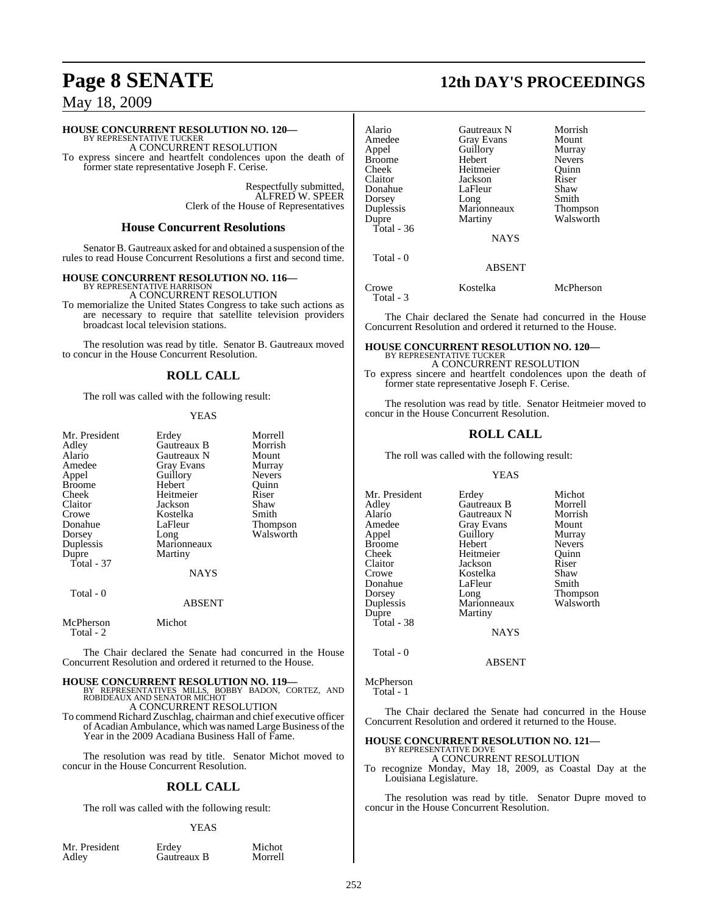## **HOUSE CONCURRENT RESOLUTION NO. 120—** BY REPRESENTATIVE TUCKER

A CONCURRENT RESOLUTION

To express sincere and heartfelt condolences upon the death of former state representative Joseph F. Cerise.

> Respectfully submitted, ALFRED W. SPEER Clerk of the House of Representatives

#### **House Concurrent Resolutions**

Senator B. Gautreaux asked for and obtained a suspension of the rules to read House Concurrent Resolutions a first and second time.

#### **HOUSE CONCURRENT RESOLUTION NO. 116—**

BY REPRESENTATIVE HARRISON A CONCURRENT RESOLUTION

To memorialize the United States Congress to take such actions as are necessary to require that satellite television providers broadcast local television stations.

The resolution was read by title. Senator B. Gautreaux moved to concur in the House Concurrent Resolution.

#### **ROLL CALL**

The roll was called with the following result:

#### YEAS

| Mr. President          |               | Morrell       |
|------------------------|---------------|---------------|
|                        | Erdey         |               |
| Adley                  | Gautreaux B   | Morrish       |
| Alario                 | Gautreaux N   | Mount         |
| Amedee                 | Gray Evans    | Murray        |
| Appel                  | Guillory      | <b>Nevers</b> |
| <b>Broome</b>          | Hebert        | Quinn         |
| Cheek                  | Heitmeier     | Riser         |
| Claitor                | Jackson       | Shaw          |
| Crowe                  | Kostelka      | Smith         |
| Donahue                | LaFleur       | Thompson      |
| Dorsey                 | Long          | Walsworth     |
| Duplessis              | Marionneaux   |               |
| Dupre                  | Martiny       |               |
| $Total - 37$           |               |               |
|                        | <b>NAYS</b>   |               |
| Total - 0              |               |               |
|                        | <b>ABSENT</b> |               |
| McPherson<br>Total - 2 | Michot        |               |

The Chair declared the Senate had concurred in the House Concurrent Resolution and ordered it returned to the House.

**HOUSE CONCURRENT RESOLUTION NO. 119—** BY REPRESENTATIVES MILLS, BOBBY BADON, CORTEZ, AND ROBIDEAUX AND SENATOR MICHOT

A CONCURRENT RESOLUTION

To commend Richard Zuschlag, chairman and chief executive officer of Acadian Ambulance, which was named Large Business of the Year in the 2009 Acadiana Business Hall of Fame.

The resolution was read by title. Senator Michot moved to concur in the House Concurrent Resolution.

#### **ROLL CALL**

The roll was called with the following result:

#### YEAS

| Mr. President | Erdey       | Michot  |
|---------------|-------------|---------|
| Adley         | Gautreaux B | Morrell |

# **Page 8 SENATE 12th DAY'S PROCEEDINGS**

| Alario<br>Amedee<br>Appel<br>Broome<br>Cheek<br>Claitor<br>Donahue<br>Dorsey<br>Duplessis<br>Dupre<br>Total - 36 | Gautreaux N<br>Gray Evans<br>Guillory<br>Hebert<br>Heitmeier<br>Jackson<br>LaFleur<br>Long<br>Marionneaux<br>Martiny<br><b>NAYS</b> | Morrish<br>Mount<br>Murray<br><b>Nevers</b><br>Ouinn<br>Riser<br>Shaw<br>Smith<br><b>Thompson</b><br>Walsworth |
|------------------------------------------------------------------------------------------------------------------|-------------------------------------------------------------------------------------------------------------------------------------|----------------------------------------------------------------------------------------------------------------|
|                                                                                                                  |                                                                                                                                     |                                                                                                                |
| Total - 0                                                                                                        | ABSENT                                                                                                                              |                                                                                                                |

Crowe Kostelka McPherson Total - 3

The Chair declared the Senate had concurred in the House Concurrent Resolution and ordered it returned to the House.

## **HOUSE CONCURRENT RESOLUTION NO. 120—**

BY REPRESENTATIVE TUCKER A CONCURRENT RESOLUTION

To express sincere and heartfelt condolences upon the death of former state representative Joseph F. Cerise.

The resolution was read by title. Senator Heitmeier moved to concur in the House Concurrent Resolution.

#### **ROLL CALL**

The roll was called with the following result:

#### YEAS

| Mr. President | Erdey             | Michot        |
|---------------|-------------------|---------------|
| Adley         | Gautreaux B       | Morrell       |
| Alario        | Gautreaux N       | Morrish       |
| Amedee        | <b>Gray Evans</b> | Mount         |
| Appel         | Guillory          | Murray        |
| Broome        | Hebert            | <b>Nevers</b> |
| Cheek         | Heitmeier         | Ouinn         |
| Claitor       | Jackson           | Riser         |
| Crowe         | Kostelka          | Shaw          |
| Donahue       | LaFleur           | Smith         |
| Dorsey        | Long              | Thompson      |
| Duplessis     | Marionneaux       | Walsworth     |
| Dupre         | Martiny           |               |
| Total - 38    |                   |               |
|               | <b>NAYS</b>       |               |
|               |                   |               |

ABSENT

#### McPherson

Total - 0

Total - 1

The Chair declared the Senate had concurred in the House Concurrent Resolution and ordered it returned to the House.

## **HOUSE CONCURRENT RESOLUTION NO. 121—**

BY REPRESENTATIVE DOVE A CONCURRENT RESOLUTION

To recognize Monday, May 18, 2009, as Coastal Day at the Louisiana Legislature.

The resolution was read by title. Senator Dupre moved to concur in the House Concurrent Resolution.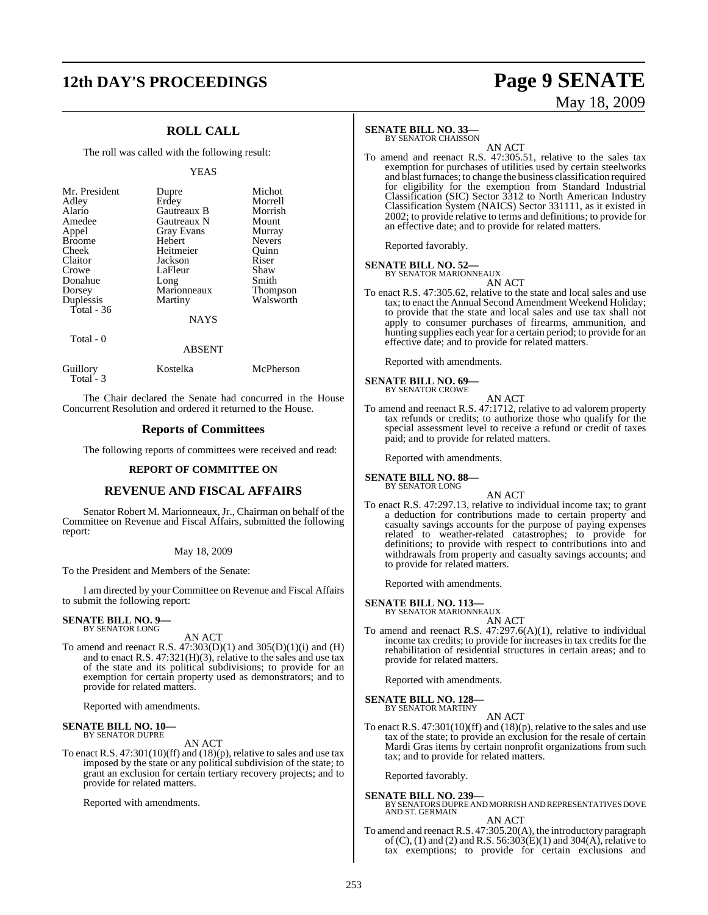# **12th DAY'S PROCEEDINGS Page 9 SENATE**

## **ROLL CALL**

The roll was called with the following result:

#### YEAS

| Mr. President | Dupre       | Michot          |
|---------------|-------------|-----------------|
| Adley         | Erdey       | Morrell         |
| Alario        | Gautreaux B | Morrish         |
| Amedee        | Gautreaux N | Mount           |
| Appel         | Gray Evans  | Murray          |
| <b>Broome</b> | Hebert      | <b>Nevers</b>   |
| Cheek         | Heitmeier   | Ouinn           |
| Claitor       | Jackson     | Riser           |
| Crowe         | LaFleur     | Shaw            |
| Donahue       | Long        | Smith           |
| Dorsey        | Marionneaux | <b>Thompson</b> |
| Duplessis     | Martiny     | Walsworth       |
| Total $-36$   |             |                 |
|               | <b>NAYS</b> |                 |
| Total - 0     |             |                 |
|               | ABSENT      |                 |

Guillory Kostelka McPherson Total - 3

The Chair declared the Senate had concurred in the House Concurrent Resolution and ordered it returned to the House.

#### **Reports of Committees**

The following reports of committees were received and read:

#### **REPORT OF COMMITTEE ON**

#### **REVENUE AND FISCAL AFFAIRS**

Senator Robert M. Marionneaux, Jr., Chairman on behalf of the Committee on Revenue and Fiscal Affairs, submitted the following report:

#### May 18, 2009

To the President and Members of the Senate:

I am directed by your Committee on Revenue and Fiscal Affairs to submit the following report:

#### **SENATE BILL NO. 9—** BY SENATOR LONG

AN ACT

To amend and reenact R.S.  $47:303(D)(1)$  and  $305(D)(1)(i)$  and  $(H)$ and to enact R.S. 47:321(H)(3), relative to the sales and use tax of the state and its political subdivisions; to provide for an exemption for certain property used as demonstrators; and to provide for related matters.

Reported with amendments.

#### **SENATE BILL NO. 10—** BY SENATOR DUPRE

AN ACT

To enact R.S. 47:301(10)(ff) and (18)(p), relative to sales and use tax imposed by the state or any political subdivision of the state; to grant an exclusion for certain tertiary recovery projects; and to provide for related matters.

Reported with amendments.

#### **SENATE BILL NO. 33—**

BY SENATOR CHAISSON

AN ACT To amend and reenact R.S. 47:305.51, relative to the sales tax exemption for purchases of utilities used by certain steelworks and blast furnaces; to change the business classification required for eligibility for the exemption from Standard Industrial Classification (SIC) Sector 3312 to North American Industry Classification System (NAICS) Sector 331111, as it existed in 2002; to provide relative to terms and definitions; to provide for an effective date; and to provide for related matters.

Reported favorably.

#### **SENATE BILL NO. 52—** BY SENATOR MARIONNEAUX

AN ACT

To enact R.S. 47:305.62, relative to the state and local sales and use tax; to enact the Annual Second Amendment Weekend Holiday; to provide that the state and local sales and use tax shall not apply to consumer purchases of firearms, ammunition, and hunting supplies each year for a certain period; to provide for an effective date; and to provide for related matters.

Reported with amendments.

#### **SENATE BILL NO. 69—** BY SENATOR CROWE

AN ACT

To amend and reenact R.S. 47:1712, relative to ad valorem property tax refunds or credits; to authorize those who qualify for the special assessment level to receive a refund or credit of taxes paid; and to provide for related matters.

Reported with amendments.

#### **SENATE BILL NO. 88—** BY SENATOR LONG

AN ACT

To enact R.S. 47:297.13, relative to individual income tax; to grant a deduction for contributions made to certain property and casualty savings accounts for the purpose of paying expenses related to weather-related catastrophes; to provide for definitions; to provide with respect to contributions into and withdrawals from property and casualty savings accounts; and to provide for related matters.

Reported with amendments.

**SENATE BILL NO. 113—** BY SENATOR MARIONNEAUX

- 
- AN ACT To amend and reenact R.S. 47:297.6(A)(1), relative to individual income tax credits; to provide for increases in tax credits for the rehabilitation of residential structures in certain areas; and to provide for related matters.

Reported with amendments.

**SENATE BILL NO. 128—** BY SENATOR MARTINY

AN ACT

To enact R.S. 47:301(10)(ff) and (18)(p), relative to the sales and use tax of the state; to provide an exclusion for the resale of certain Mardi Gras items by certain nonprofit organizations from such tax; and to provide for related matters.

Reported favorably.

**SENATE BILL NO. 239—**<br>BY SENATORS DUPRE AND MORRISH AND REPRESENTATIVES DOVE<br>AND ST. GERMAIN

#### AN ACT

To amend and reenact R.S. 47:305.20(A), the introductory paragraph of  $(C)$ ,  $(1)$  and  $(2)$  and R.S. 56:303 $(E)(1)$  and 304 $(A)$ , relative to tax exemptions; to provide for certain exclusions and

# May 18, 2009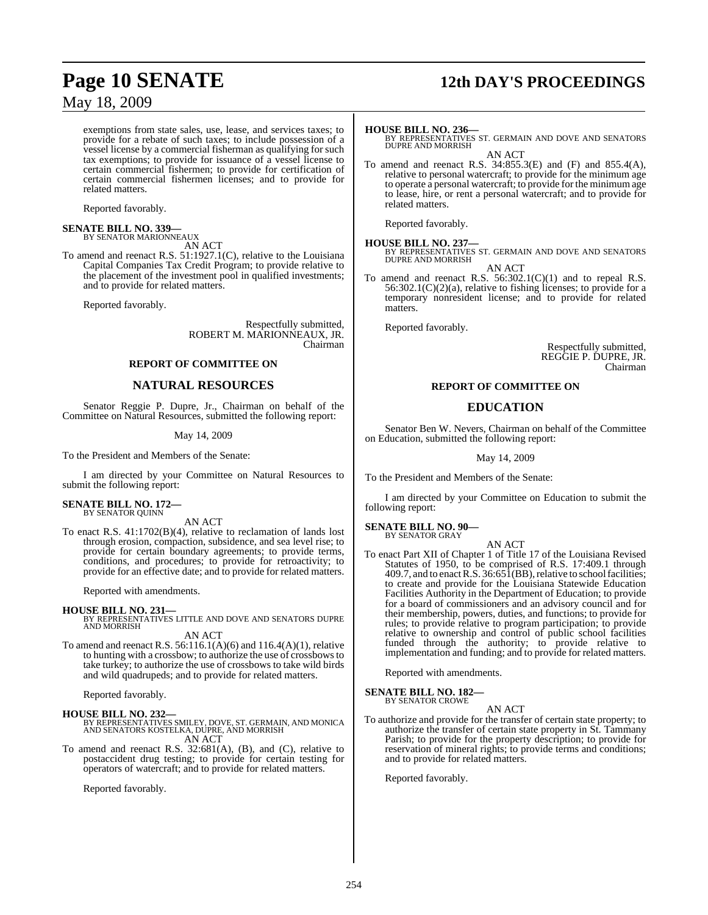exemptions from state sales, use, lease, and services taxes; to provide for a rebate of such taxes; to include possession of a vessel license by a commercial fisherman as qualifying for such tax exemptions; to provide for issuance of a vessel license to certain commercial fishermen; to provide for certification of certain commercial fishermen licenses; and to provide for related matters.

Reported favorably.

#### **SENATE BILL NO. 339—** BY SENATOR MARIONNEAUX

AN ACT

To amend and reenact R.S. 51:1927.1(C), relative to the Louisiana Capital Companies Tax Credit Program; to provide relative to the placement of the investment pool in qualified investments; and to provide for related matters.

Reported favorably.

Respectfully submitted, ROBERT M. MARIONNEAUX, JR. Chairman

#### **REPORT OF COMMITTEE ON**

## **NATURAL RESOURCES**

Senator Reggie P. Dupre, Jr., Chairman on behalf of the Committee on Natural Resources, submitted the following report:

#### May 14, 2009

To the President and Members of the Senate:

I am directed by your Committee on Natural Resources to submit the following report:

## **SENATE BILL NO. 172—** BY SENATOR QUINN

AN ACT

To enact R.S. 41:1702(B)(4), relative to reclamation of lands lost through erosion, compaction, subsidence, and sea level rise; to provide for certain boundary agreements; to provide terms, conditions, and procedures; to provide for retroactivity; to provide for an effective date; and to provide for related matters.

Reported with amendments.

**HOUSE BILL NO. 231—** BY REPRESENTATIVES LITTLE AND DOVE AND SENATORS DUPRE AND MORRISH AN ACT

To amend and reenact R.S. 56:116.1(A)(6) and 116.4(A)(1), relative to hunting with a crossbow; to authorize the use of crossbowsto take turkey; to authorize the use of crossbows to take wild birds and wild quadrupeds; and to provide for related matters.

Reported favorably.

#### **HOUSE BILL NO. 232—**

BY REPRESENTATIVES SMILEY, DOVE, ST. GERMAIN, AND MONICA AND SENATORS KOSTELKA, DUPRE, AND MORRISH AN ACT

To amend and reenact R.S. 32:681(A), (B), and (C), relative to postaccident drug testing; to provide for certain testing for operators of watercraft; and to provide for related matters.

Reported favorably.

# **Page 10 SENATE 12th DAY'S PROCEEDINGS**

**HOUSE BILL NO. 236—** BY REPRESENTATIVES ST. GERMAIN AND DOVE AND SENATORS DUPRE AND MORRISH AN ACT

To amend and reenact R.S. 34:855.3(E) and (F) and 855.4(A), relative to personal watercraft; to provide for the minimum age to operate a personal watercraft; to provide for the minimumage to lease, hire, or rent a personal watercraft; and to provide for related matters.

Reported favorably.

#### **HOUSE BILL NO. 237—**

BY REPRESENTATIVES ST. GERMAIN AND DOVE AND SENATORS DUPRE AND MORRISH AN ACT

To amend and reenact R.S. 56:302.1(C)(1) and to repeal R.S. 56:302.1(C)(2)(a), relative to fishing licenses; to provide for a temporary nonresident license; and to provide for related matters.

Reported favorably.

Respectfully submitted, REGGIE P. DUPRE, JR. Chairman

#### **REPORT OF COMMITTEE ON**

### **EDUCATION**

Senator Ben W. Nevers, Chairman on behalf of the Committee on Education, submitted the following report:

May 14, 2009

To the President and Members of the Senate:

I am directed by your Committee on Education to submit the following report:

#### **SENATE BILL NO. 90—** BY SENATOR GRAY

AN ACT

To enact Part XII of Chapter 1 of Title 17 of the Louisiana Revised Statutes of 1950, to be comprised of R.S. 17:409.1 through 409.7, and to enact R.S.  $36:65\overline{1}$ (BB), relative to school facilities; to create and provide for the Louisiana Statewide Education Facilities Authority in the Department of Education; to provide for a board of commissioners and an advisory council and for their membership, powers, duties, and functions; to provide for rules; to provide relative to program participation; to provide relative to ownership and control of public school facilities funded through the authority; to provide relative to implementation and funding; and to provide for related matters.

Reported with amendments.

#### **SENATE BILL NO. 182—** BY SENATOR CROWE

AN ACT

To authorize and provide for the transfer of certain state property; to authorize the transfer of certain state property in St. Tammany Parish; to provide for the property description; to provide for reservation of mineral rights; to provide terms and conditions; and to provide for related matters.

Reported favorably.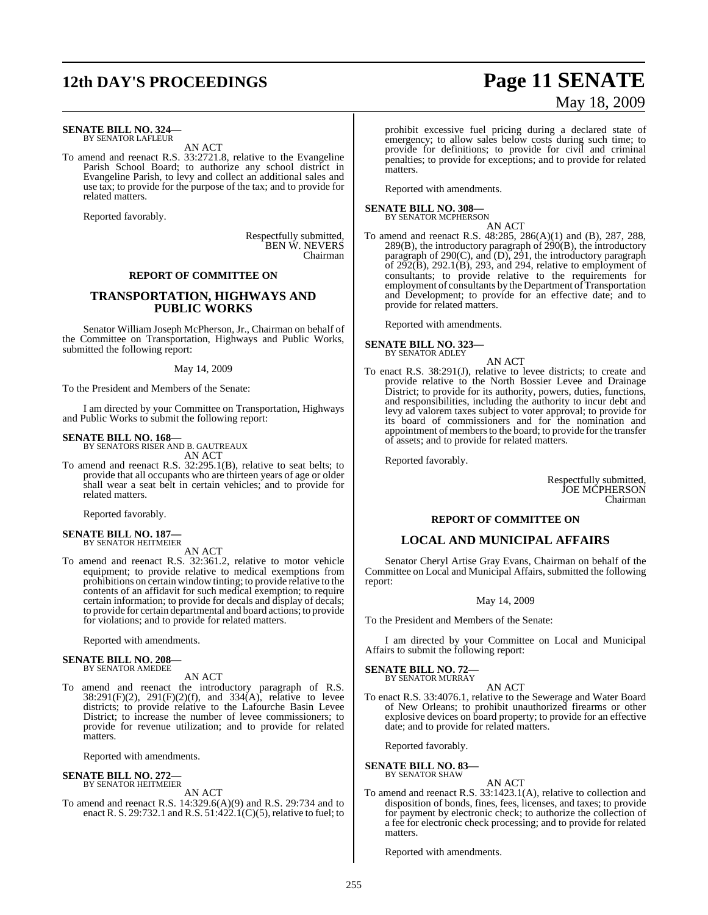# **12th DAY'S PROCEEDINGS Page 11 SENATE**

#### **SENATE BILL NO. 324—** BY SENATOR LAFLEUR

AN ACT

To amend and reenact R.S. 33:2721.8, relative to the Evangeline Parish School Board; to authorize any school district in Evangeline Parish, to levy and collect an additional sales and use tax; to provide for the purpose of the tax; and to provide for related matters.

Reported favorably.

Respectfully submitted, BEN W. NEVERS Chairman

#### **REPORT OF COMMITTEE ON**

#### **TRANSPORTATION, HIGHWAYS AND PUBLIC WORKS**

Senator William Joseph McPherson, Jr., Chairman on behalf of the Committee on Transportation, Highways and Public Works, submitted the following report:

#### May 14, 2009

To the President and Members of the Senate:

I am directed by your Committee on Transportation, Highways and Public Works to submit the following report:

## **SENATE BILL NO. 168—** BY SENATORS RISER AND B. GAUTREAUX

AN ACT

To amend and reenact R.S. 32:295.1(B), relative to seat belts; to provide that all occupants who are thirteen years of age or older shall wear a seat belt in certain vehicles; and to provide for related matters.

Reported favorably.

#### **SENATE BILL NO. 187—** BY SENATOR HEITMEIER

AN ACT

To amend and reenact R.S. 32:361.2, relative to motor vehicle equipment; to provide relative to medical exemptions from prohibitions on certain window tinting; to provide relative to the contents of an affidavit for such medical exemption; to require certain information; to provide for decals and display of decals; to provide for certain departmental and board actions; to provide for violations; and to provide for related matters.

Reported with amendments.

## **SENATE BILL NO. 208—** BY SENATOR AMEDEE

AN ACT

To amend and reenact the introductory paragraph of R.S.  $38:291(F)(2)$ ,  $291(F)(2)(f)$ , and  $334(A)$ , relative to levee districts; to provide relative to the Lafourche Basin Levee District; to increase the number of levee commissioners; to provide for revenue utilization; and to provide for related matters.

Reported with amendments.

#### **SENATE BILL NO. 272—** BY SENATOR HEITMEIER

AN ACT

To amend and reenact R.S. 14:329.6(A)(9) and R.S. 29:734 and to enact R. S. 29:732.1 and R.S.  $51:422.1(C)(5)$ , relative to fuel; to

# May 18, 2009

prohibit excessive fuel pricing during a declared state of emergency; to allow sales below costs during such time; to provide for definitions; to provide for civil and criminal penalties; to provide for exceptions; and to provide for related matters.

Reported with amendments.

## **SENATE BILL NO. 308—**<br>BY SENATOR MCPHERSON

AN ACT

To amend and reenact R.S. 48:285, 286(A)(1) and (B), 287, 288,  $289(B)$ , the introductory paragraph of  $290(B)$ , the introductory paragraph of 290(C), and (D), 291, the introductory paragraph of  $2\overline{9}2(B)$ ,  $292.1(B)$ ,  $293$ , and  $294$ , relative to employment of consultants; to provide relative to the requirements for employment of consultants by the Department of Transportation and Development; to provide for an effective date; and to provide for related matters.

Reported with amendments.

**SENATE BILL NO. 323—**

BY SENATOR ADLEY AN ACT

To enact R.S. 38:291(J), relative to levee districts; to create and provide relative to the North Bossier Levee and Drainage District; to provide for its authority, powers, duties, functions, and responsibilities, including the authority to incur debt and levy ad valorem taxes subject to voter approval; to provide for its board of commissioners and for the nomination and appointment of members to the board; to provide for the transfer of assets; and to provide for related matters.

Reported favorably.

Respectfully submitted, JOE MCPHERSON Chairman

#### **REPORT OF COMMITTEE ON**

#### **LOCAL AND MUNICIPAL AFFAIRS**

Senator Cheryl Artise Gray Evans, Chairman on behalf of the Committee on Local and Municipal Affairs, submitted the following report:

#### May 14, 2009

To the President and Members of the Senate:

I am directed by your Committee on Local and Municipal Affairs to submit the following report:

**SENATE BILL NO. 72—** BY SENATOR MURRAY

#### AN ACT

To enact R.S. 33:4076.1, relative to the Sewerage and Water Board of New Orleans; to prohibit unauthorized firearms or other explosive devices on board property; to provide for an effective date; and to provide for related matters.

Reported favorably.

**SENATE BILL NO. 83—** BY SENATOR SHAW

AN ACT

To amend and reenact R.S. 33:1423.1(A), relative to collection and disposition of bonds, fines, fees, licenses, and taxes; to provide for payment by electronic check; to authorize the collection of a fee for electronic check processing; and to provide for related matters.

Reported with amendments.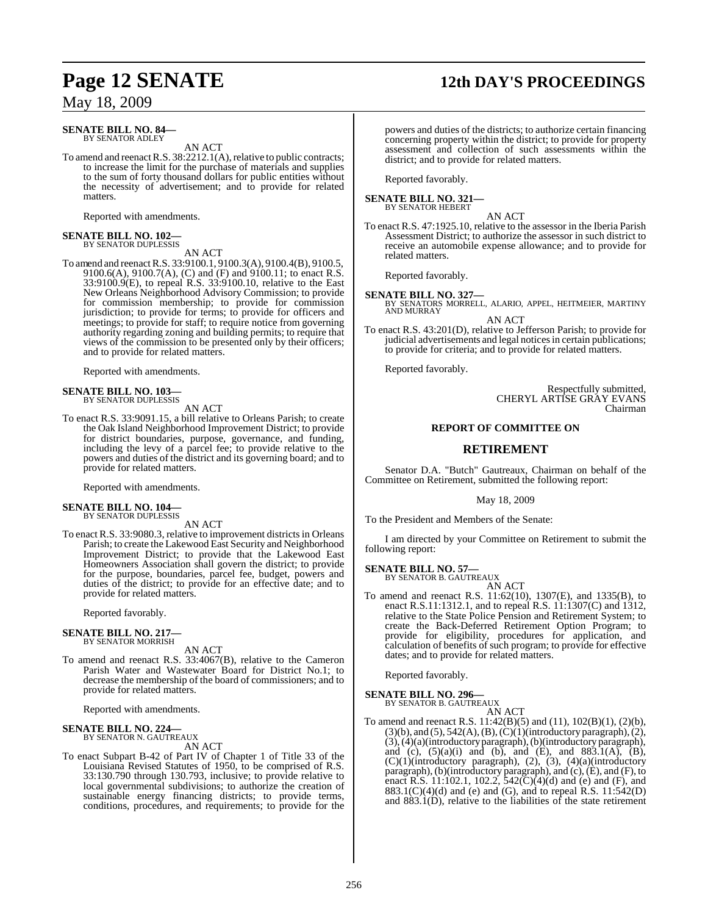## **Page 12 SENATE 12th DAY'S PROCEEDINGS**

May 18, 2009

#### **SENATE BILL NO. 84—** BY SENATOR ADLEY

AN ACT

To amend and reenact R.S. 38:2212.1(A), relative to public contracts; to increase the limit for the purchase of materials and supplies to the sum of forty thousand dollars for public entities without the necessity of advertisement; and to provide for related matters.

Reported with amendments.

## **SENATE BILL NO. 102—** BY SENATOR DUPLESSIS

AN ACT

To amend and reenact R.S. 33:9100.1, 9100.3(A), 9100.4(B), 9100.5, 9100.6(A), 9100.7(A), (C) and (F) and 9100.11; to enact R.S. 33:9100.9(E), to repeal R.S. 33:9100.10, relative to the East New Orleans Neighborhood Advisory Commission; to provide for commission membership; to provide for commission jurisdiction; to provide for terms; to provide for officers and meetings; to provide for staff; to require notice from governing authority regarding zoning and building permits; to require that views of the commission to be presented only by their officers; and to provide for related matters.

Reported with amendments.

# **SENATE BILL NO. 103—** BY SENATOR DUPLESSIS

AN ACT

To enact R.S. 33:9091.15, a bill relative to Orleans Parish; to create the Oak Island Neighborhood Improvement District; to provide for district boundaries, purpose, governance, and funding, including the levy of a parcel fee; to provide relative to the powers and duties of the district and its governing board; and to provide for related matters.

Reported with amendments.

## **SENATE BILL NO. 104—** BY SENATOR DUPLESSIS

AN ACT

To enact R.S. 33:9080.3, relative to improvement districts in Orleans Parish; to create the Lakewood East Security and Neighborhood Improvement District; to provide that the Lakewood East Homeowners Association shall govern the district; to provide for the purpose, boundaries, parcel fee, budget, powers and duties of the district; to provide for an effective date; and to provide for related matters.

Reported favorably.

#### **SENATE BILL NO. 217—** BY SENATOR MORRISH

AN ACT

To amend and reenact R.S. 33:4067(B), relative to the Cameron Parish Water and Wastewater Board for District No.1; to decrease the membership of the board of commissioners; and to provide for related matters.

Reported with amendments.

#### **SENATE BILL NO. 224—** BY SENATOR N. GAUTREAUX

AN ACT

To enact Subpart B-42 of Part IV of Chapter 1 of Title 33 of the Louisiana Revised Statutes of 1950, to be comprised of R.S. 33:130.790 through 130.793, inclusive; to provide relative to local governmental subdivisions; to authorize the creation of sustainable energy financing districts; to provide terms, conditions, procedures, and requirements; to provide for the

powers and duties of the districts; to authorize certain financing concerning property within the district; to provide for property assessment and collection of such assessments within the district; and to provide for related matters.

Reported favorably.

#### **SENATE BILL NO. 321—** BY SENATOR HEBERT

AN ACT

To enact R.S. 47:1925.10, relative to the assessor in the Iberia Parish Assessment District; to authorize the assessor in such district to receive an automobile expense allowance; and to provide for related matters.

Reported favorably.

**SENATE BILL NO. 327—**<br>BY SENATORS MORRELL, ALARIO, APPEL, HEITMEIER, MARTINY<br>AND MURRAY AN ACT

To enact R.S. 43:201(D), relative to Jefferson Parish; to provide for judicial advertisements and legal notices in certain publications; to provide for criteria; and to provide for related matters.

Reported favorably.

Respectfully submitted, CHERYL ARTISE GRAY EVANS Chairman

## **REPORT OF COMMITTEE ON**

#### **RETIREMENT**

Senator D.A. "Butch" Gautreaux, Chairman on behalf of the Committee on Retirement, submitted the following report:

May 18, 2009

To the President and Members of the Senate:

I am directed by your Committee on Retirement to submit the following report:

#### **SENATE BILL NO. 57—**

BY SENATOR B. GAUTREAUX AN ACT

To amend and reenact R.S. 11:62(10), 1307(E), and 1335(B), to enact R.S.11:1312.1, and to repeal R.S. 11:1307(C) and 1312, relative to the State Police Pension and Retirement System; to create the Back-Deferred Retirement Option Program; to provide for eligibility, procedures for application, and calculation of benefits of such program; to provide for effective dates; and to provide for related matters.

Reported favorably.

#### **SENATE BILL NO. 296—**

BY SENATOR B. GAUTREAUX AN ACT

To amend and reenact R.S. 11:42(B)(5) and (11), 102(B)(1), (2)(b),  $(3)(b)$ , and  $(5)$ , 542(A), (B),  $(\dot{C})(1)($ introductory paragraph), $(2)$ , (3),(4)(a)(introductory paragraph), (b)(introductory paragraph), and (c),  $(5)(a)(i)$  and  $(b)$ , and  $(E)$ , and  $883.1(A)$ ,  $(B)$ ,  $(C)(1)$ (introductory paragraph),  $(2)$ ,  $(3)$ ,  $(4)(a)$ (introductory paragraph), (b)(introductory paragraph), and (c), (E), and (F), to enact R.S. 11:102.1, 102.2,  $542(C)(4)(d)$  and (e) and (F), and 883.1(C)(4)(d) and (e) and (G), and to repeal R.S. 11:542(D) and 883.1(D), relative to the liabilities of the state retirement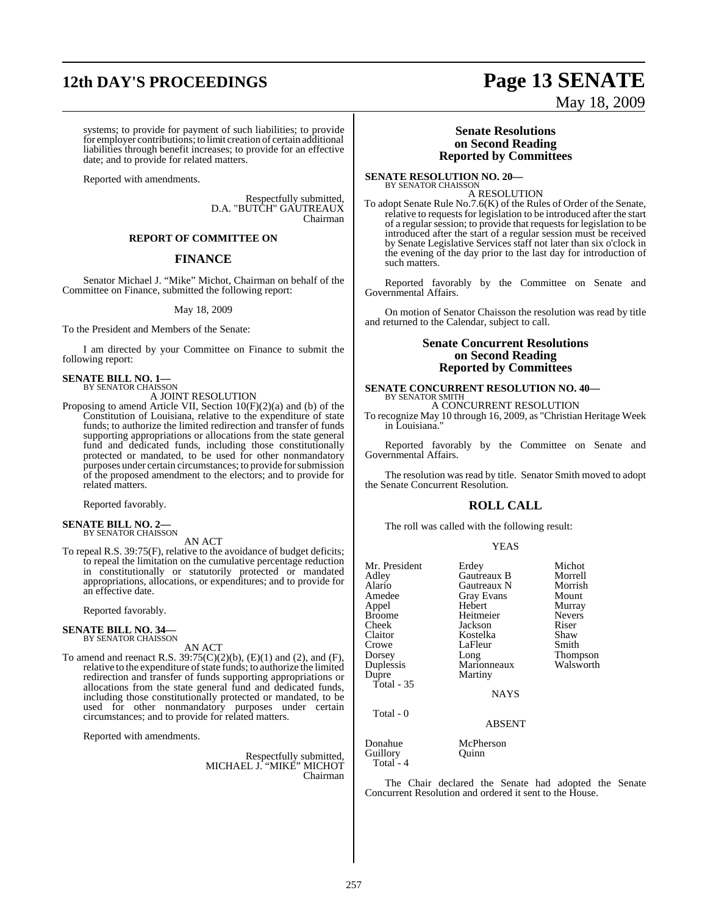# **12th DAY'S PROCEEDINGS Page 13 SENATE**

#### systems; to provide for payment of such liabilities; to provide for employer contributions; to limit creation of certain additional liabilities through benefit increases; to provide for an effective date; and to provide for related matters.

Reported with amendments.

Respectfully submitted, D.A. "BUTCH" GAUTREAUX Chairman

#### **REPORT OF COMMITTEE ON**

#### **FINANCE**

Senator Michael J. "Mike" Michot, Chairman on behalf of the Committee on Finance, submitted the following report:

#### May 18, 2009

To the President and Members of the Senate:

I am directed by your Committee on Finance to submit the following report:

## **SENATE BILL NO. 1—**<br>BY SENATOR CHAISSON

A JOINT RESOLUTION

Proposing to amend Article VII, Section 10(F)(2)(a) and (b) of the Constitution of Louisiana, relative to the expenditure of state funds; to authorize the limited redirection and transfer of funds supporting appropriations or allocations from the state general fund and dedicated funds, including those constitutionally protected or mandated, to be used for other nonmandatory purposes under certain circumstances; to provide for submission of the proposed amendment to the electors; and to provide for related matters.

Reported favorably.

#### **SENATE BILL NO. 2—** BY SENATOR CHAISSON

AN ACT

To repeal R.S. 39:75(F), relative to the avoidance of budget deficits; to repeal the limitation on the cumulative percentage reduction in constitutionally or statutorily protected or mandated appropriations, allocations, or expenditures; and to provide for an effective date.

Reported favorably.

#### **SENATE BILL NO. 34—** BY SENATOR CHAISSON

AN ACT

To amend and reenact R.S. 39:75(C)(2)(b), (E)(1) and (2), and (F), relative to the expenditure of state funds; to authorize the limited redirection and transfer of funds supporting appropriations or allocations from the state general fund and dedicated funds, including those constitutionally protected or mandated, to be used for other nonmandatory purposes under certain circumstances; and to provide for related matters.

Reported with amendments.

Respectfully submitted, MICHAEL J. "MIKE" MICHOT Chairman

#### **Senate Resolutions on Second Reading Reported by Committees**

May 18, 2009

**SENATE RESOLUTION NO. 20—** BY SENATOR CHAISSON

A RESOLUTION

To adopt Senate Rule No.7.6(K) of the Rules of Order of the Senate, relative to requests for legislation to be introduced after the start of a regular session; to provide that requestsfor legislation to be introduced after the start of a regular session must be received by Senate Legislative Services staff not later than six o'clock in the evening of the day prior to the last day for introduction of such matters.

Reported favorably by the Committee on Senate and Governmental Affairs.

On motion of Senator Chaisson the resolution was read by title and returned to the Calendar, subject to call.

#### **Senate Concurrent Resolutions on Second Reading Reported by Committees**

### **SENATE CONCURRENT RESOLUTION NO. 40—** BY SENATOR SMITH A CONCURRENT RESOLUTION

To recognize May 10 through 16, 2009, as "Christian Heritage Week in Louisiana."

Reported favorably by the Committee on Senate and Governmental Affairs.

The resolution was read by title. Senator Smith moved to adopt the Senate Concurrent Resolution.

#### **ROLL CALL**

The roll was called with the following result:

#### YEAS

| Mr. President<br>Adley<br>Alario<br>Amedee<br>Appel<br><b>Broome</b><br>Cheek<br>Claitor<br>Crowe<br>Dorsey<br>Duplessis<br>Dupre<br>Total - $35$<br>Total - 0 | Erdey<br>Gautreaux B<br>Gautreaux N<br><b>Gray Evans</b><br>Hebert<br>Heitmeier<br>Jackson<br>Kostelka<br>LaFleur<br>Long<br>Marionneaux<br>Martiny<br><b>NAYS</b> | Michot<br>Morrell<br>Morrish<br>Mount<br>Murray<br><b>Nevers</b><br>Riser<br>Shaw<br>Smith<br>Thompson<br>Walsworth |
|----------------------------------------------------------------------------------------------------------------------------------------------------------------|--------------------------------------------------------------------------------------------------------------------------------------------------------------------|---------------------------------------------------------------------------------------------------------------------|
| Donahue                                                                                                                                                        | <b>ABSENT</b><br>McPherson                                                                                                                                         |                                                                                                                     |
| Guillory<br>Total - 4                                                                                                                                          | Ouinn                                                                                                                                                              |                                                                                                                     |

The Chair declared the Senate had adopted the Senate Concurrent Resolution and ordered it sent to the House.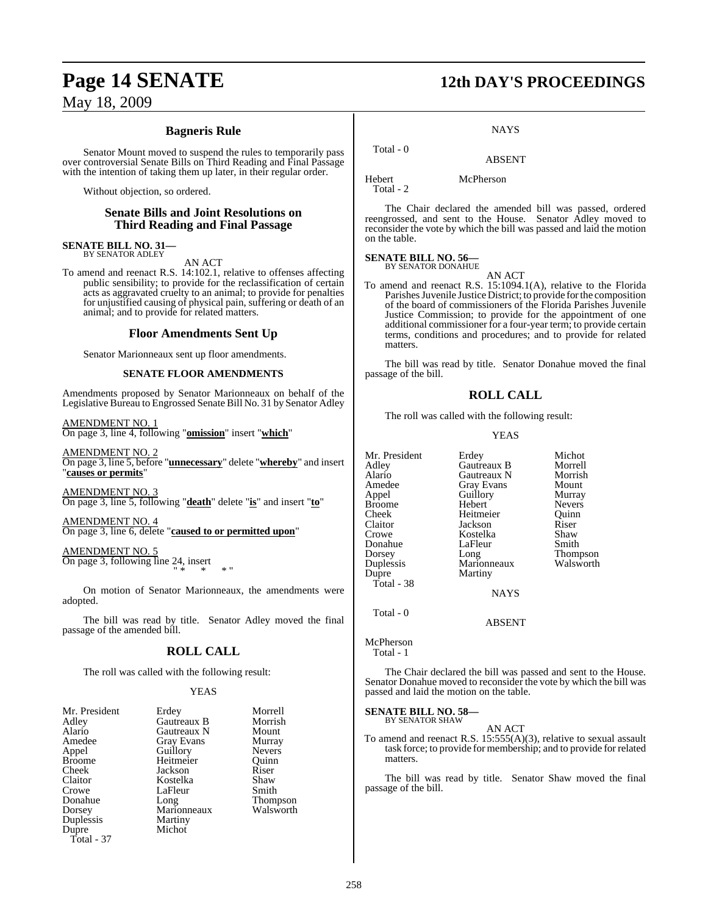### **Bagneris Rule**

Senator Mount moved to suspend the rules to temporarily pass over controversial Senate Bills on Third Reading and Final Passage with the intention of taking them up later, in their regular order.

Without objection, so ordered.

#### **Senate Bills and Joint Resolutions on Third Reading and Final Passage**

**SENATE BILL NO. 31—** BY SENATOR ADLEY

AN ACT

To amend and reenact R.S. 14:102.1, relative to offenses affecting public sensibility; to provide for the reclassification of certain acts as aggravated cruelty to an animal; to provide for penalties for unjustified causing of physical pain, suffering or death of an animal; and to provide for related matters.

#### **Floor Amendments Sent Up**

Senator Marionneaux sent up floor amendments.

#### **SENATE FLOOR AMENDMENTS**

Amendments proposed by Senator Marionneaux on behalf of the Legislative Bureau to Engrossed Senate Bill No. 31 by Senator Adley

AMENDMENT NO. 1 On page 3, line 4, following "**omission**" insert "**which**"

AMENDMENT NO. 2 On page 3, line 5, before "**unnecessary**" delete "**whereby**" and insert "**causes or permits**"

AMENDMENT NO. 3 On page 3, line 5, following "**death**" delete "**is**" and insert "**to**"

AMENDMENT NO. 4 On page 3, line 6, delete "**caused to or permitted upon**"

AMENDMENT NO. 5 On page 3, following line 24, insert " \* \* \* "

On motion of Senator Marionneaux, the amendments were adopted.

The bill was read by title. Senator Adley moved the final passage of the amended bill.

#### **ROLL CALL**

The roll was called with the following result:

#### YEAS

| Mr. President | Erdey             | Morrell       |
|---------------|-------------------|---------------|
| Adley         | Gautreaux B       | Morrish       |
| Alario        | Gautreaux N       | Mount         |
| Amedee        | <b>Gray Evans</b> | Murray        |
| Appel         | Guillory          | <b>Nevers</b> |
| <b>Broome</b> | Heitmeier         | Ouinn         |
| Cheek         | Jackson           | Riser         |
| Claitor       | Kostelka          | Shaw          |
| Crowe         | LaFleur           | Smith         |
| Donahue       | Long              | <b>Thomps</b> |
| Dorsey        | Marionneaux       | Walswo        |
| Duplessis     | Martiny           |               |
| Dupre         | Michot            |               |
| Total - 37    |                   |               |

Gray Evans Murray<br>Guillory Nevers Guillory Nevers<br>
Heitmeier Ouinn Heitmeier Quinn<br>
Jackson Riser Jackson Riser<br>Kostelka Shaw Kostelka Shaw<br>LaFleur Smith Thompson<br>Walsworth

# **Page 14 SENATE 12th DAY'S PROCEEDINGS**

#### **NAYS**

## ABSENT

Hebert McPherson Total - 2

Total - 0

The Chair declared the amended bill was passed, ordered reengrossed, and sent to the House. Senator Adley moved to reconsider the vote by which the bill was passed and laid the motion on the table.

## **SENATE BILL NO. 56—**

BY SENATOR DONAHUE

To amend and reenact R.S. 15:1094.1(A), relative to the Florida Parishes Juvenile Justice District; to provide for the composition of the board of commissioners of the Florida Parishes Juvenile Justice Commission; to provide for the appointment of one additional commissioner for a four-year term; to provide certain terms, conditions and procedures; and to provide for related matters.

AN ACT

The bill was read by title. Senator Donahue moved the final passage of the bill.

### **ROLL CALL**

The roll was called with the following result:

#### YEAS

| Mr. President<br>Adley<br>Alario<br>Amedee<br>Appel<br><b>Broome</b><br>Cheek<br>Claitor<br>Crowe<br>Donahue<br>Dorsey<br>Duplessis<br>Dupre<br>Total - 38 | Erdey<br>Gautreaux B<br>Gautreaux N<br><b>Gray Evans</b><br>Guillory<br>Hebert<br>Heitmeier<br>Jackson<br>Kostelka<br>LaFleur<br>Long<br>Marionneaux<br>Martiny<br><b>NAYS</b> | Michot<br>Morrell<br>Morrish<br>Mount<br>Murray<br><b>Nevers</b><br>Ouinn<br>Riser<br>Shaw<br>Smith<br><b>Thompson</b><br>Walsworth |
|------------------------------------------------------------------------------------------------------------------------------------------------------------|--------------------------------------------------------------------------------------------------------------------------------------------------------------------------------|-------------------------------------------------------------------------------------------------------------------------------------|
| Total - 0                                                                                                                                                  | ARSENT                                                                                                                                                                         |                                                                                                                                     |

McPherson

Total - 1

The Chair declared the bill was passed and sent to the House. Senator Donahue moved to reconsider the vote by which the bill was passed and laid the motion on the table.

#### **SENATE BILL NO. 58—** BY SENATOR SHAW

AN ACT

To amend and reenact R.S. 15:555(A)(3), relative to sexual assault task force; to provide for membership; and to provide for related matters.

The bill was read by title. Senator Shaw moved the final passage of the bill.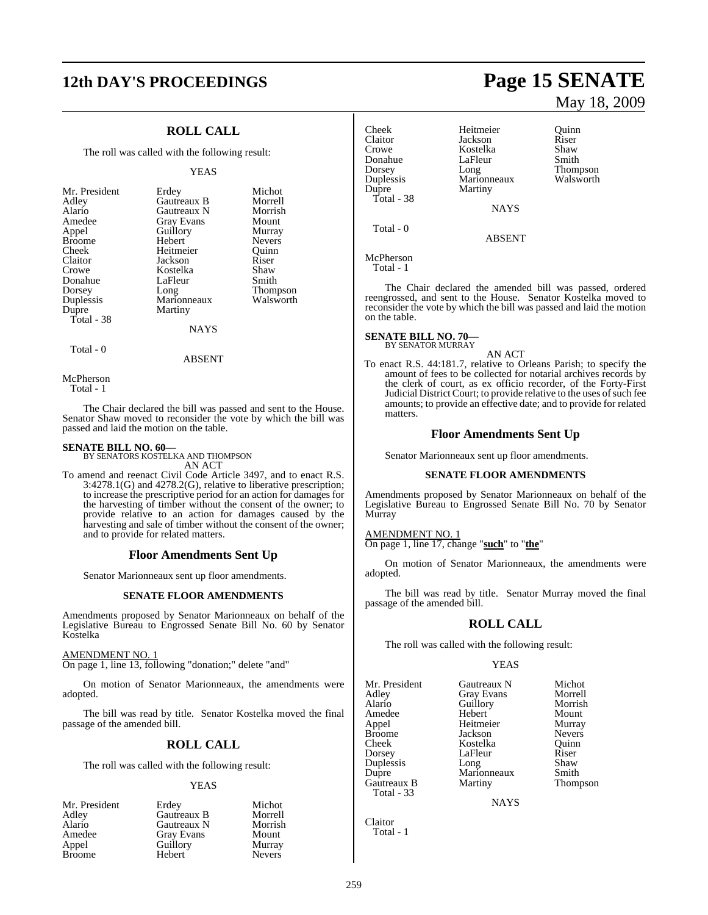# **12th DAY'S PROCEEDINGS Page 15 SENATE**

## **ROLL CALL**

The roll was called with the following result:

#### YEAS

| Mr. President<br>Adley<br>Alario<br>Amedee | Erdey<br>Gautreaux B<br>Gautreaux N<br><b>Gray Evans</b> | Michot<br>Morrell<br>Morrish<br>Mount |
|--------------------------------------------|----------------------------------------------------------|---------------------------------------|
| Appel                                      | Guillory                                                 | Murray                                |
| <b>Broome</b>                              | Hebert                                                   | <b>Nevers</b>                         |
| Cheek                                      | Heitmeier                                                | Ouinn                                 |
| Claitor                                    | Jackson                                                  | Riser                                 |
| Crowe                                      | Kostelka                                                 | Shaw                                  |
| Donahue                                    | LaFleur                                                  | Smith                                 |
| Dorsey                                     | Long                                                     | Thompson                              |
| Duplessis                                  | Marionneaux                                              | Walsworth                             |
| Dupre                                      | Martiny                                                  |                                       |
| Total - 38                                 |                                                          |                                       |
|                                            | NAYS                                                     |                                       |

Total - 0

ABSENT

McPherson Total - 1

The Chair declared the bill was passed and sent to the House. Senator Shaw moved to reconsider the vote by which the bill was passed and laid the motion on the table.

#### **SENATE BILL NO. 60—**

BY SENATORS KOSTELKA AND THOMPSON AN ACT

To amend and reenact Civil Code Article 3497, and to enact R.S. 3:4278.1(G) and 4278.2(G), relative to liberative prescription; to increase the prescriptive period for an action for damages for the harvesting of timber without the consent of the owner; to provide relative to an action for damages caused by the harvesting and sale of timber without the consent of the owner; and to provide for related matters.

#### **Floor Amendments Sent Up**

Senator Marionneaux sent up floor amendments.

#### **SENATE FLOOR AMENDMENTS**

Amendments proposed by Senator Marionneaux on behalf of the Legislative Bureau to Engrossed Senate Bill No. 60 by Senator Kostelka

#### AMENDMENT NO. 1

On page 1, line 13, following "donation;" delete "and"

On motion of Senator Marionneaux, the amendments were adopted.

The bill was read by title. Senator Kostelka moved the final passage of the amended bill.

#### **ROLL CALL**

The roll was called with the following result:

#### YEAS

| Mr. President | Erdey       | Michot        |
|---------------|-------------|---------------|
| Adley         | Gautreaux B | Morrell       |
| Alario        | Gautreaux N | Morrish       |
| Amedee        | Gray Evans  | Mount         |
| Appel         | Guillory    | Murray        |
| <b>Broome</b> | Hebert      | <b>Nevers</b> |

# Donahue LaFleur<br>Dorsey Long Total - 38

Cheek Heitmeier Quinn Claitor Jackson Riser Crowe **Kostelka** Shaw<br> **Consulter** Carleur Smith Dorsey Long Thompson<br>
Duplessis Marionneaux Walsworth Duplessis Marionneaux<br>
Dupre Martiny Martiny

NAYS

ABSENT

McPherson Total - 1

Total - 0

The Chair declared the amended bill was passed, ordered reengrossed, and sent to the House. Senator Kostelka moved to reconsider the vote by which the bill was passed and laid the motion on the table.

#### **SENATE BILL NO. 70—** BY SENATOR MURRAY

AN ACT

To enact R.S. 44:181.7, relative to Orleans Parish; to specify the amount of fees to be collected for notarial archives records by the clerk of court, as ex officio recorder, of the Forty-First Judicial District Court; to provide relative to the uses of such fee amounts; to provide an effective date; and to provide for related matters.

#### **Floor Amendments Sent Up**

Senator Marionneaux sent up floor amendments.

#### **SENATE FLOOR AMENDMENTS**

Amendments proposed by Senator Marionneaux on behalf of the Legislative Bureau to Engrossed Senate Bill No. 70 by Senator **Murray** 

AMENDMENT NO. 1

On page 1, line 17, change "**such**" to "**the**"

On motion of Senator Marionneaux, the amendments were adopted.

The bill was read by title. Senator Murray moved the final passage of the amended bill.

#### **ROLL CALL**

The roll was called with the following result:

#### YEAS

Mr. President Gautreaux N Michot<br>Adley Gray Evans Morrell Adley Gray Evans Morrell Amedee Hebert Mount<br>
Appel Heitmeier Murray Broome Jackson Nevers<br>
Cheek Kostelka Quinn Dorsey LaFleur Riser<br>Duplessis Long Shaw Duplessis Long Shaw<br>
Dupre Marionneaux Smith Gautreaux B Total - 33

Guillory Morrisl<br>
Hebert Mount Heitmeier Kostelka Quinn<br>LaFleur Riser Marionneaux Smith<br>
Martiny Thompson

**NAYS** 

Claitor Total - 1

# May 18, 2009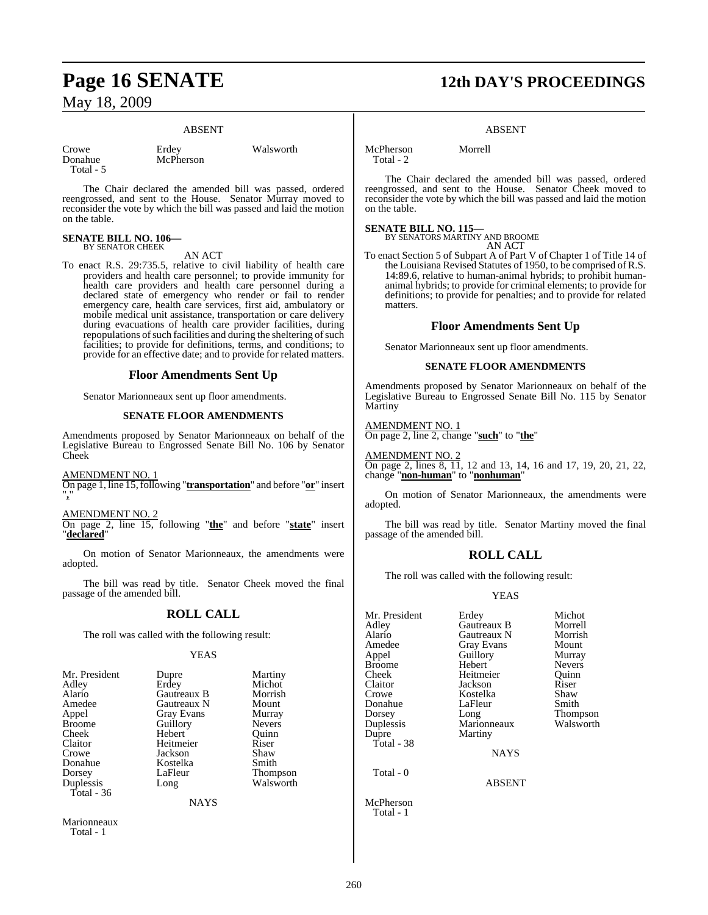#### ABSENT

Walsworth

| Crowe     | Erdev     |
|-----------|-----------|
| Donahue   | McPherson |
| Total - 5 |           |

The Chair declared the amended bill was passed, ordered reengrossed, and sent to the House. Senator Murray moved to reconsider the vote by which the bill was passed and laid the motion on the table.

## **SENATE BILL NO. 106—** BY SENATOR CHEEK

AN ACT

To enact R.S. 29:735.5, relative to civil liability of health care providers and health care personnel; to provide immunity for health care providers and health care personnel during a declared state of emergency who render or fail to render emergency care, health care services, first aid, ambulatory or mobile medical unit assistance, transportation or care delivery during evacuations of health care provider facilities, during repopulations of such facilities and during the sheltering of such facilities; to provide for definitions, terms, and conditions; to provide for an effective date; and to provide for related matters.

#### **Floor Amendments Sent Up**

Senator Marionneaux sent up floor amendments.

#### **SENATE FLOOR AMENDMENTS**

Amendments proposed by Senator Marionneaux on behalf of the Legislative Bureau to Engrossed Senate Bill No. 106 by Senator Cheek

AMENDMENT NO. 1

On page 1, line 15,following "**transportation**" and before "**or**" insert "**,**"

#### AMENDMENT NO. 2

On page 2, line 15, following "**the**" and before "**state**" insert "**declared**"

On motion of Senator Marionneaux, the amendments were adopted.

The bill was read by title. Senator Cheek moved the final passage of the amended bill.

#### **ROLL CALL**

The roll was called with the following result:

#### YEAS

Thompson

| Mr. President | Dupre             | Martiny       |
|---------------|-------------------|---------------|
| Adley         | Erdey             | Michot        |
| Alario        | Gautreaux B       | Morrish       |
| Amedee        | Gautreaux N       | Mount         |
| Appel         | <b>Gray Evans</b> | Murray        |
| <b>Broome</b> | Guillory          | <b>Nevers</b> |
| Cheek         | Hebert            | Ouinn         |
| Claitor       | Heitmeier         | Riser         |
| Crowe         | Jackson           | Shaw          |
| Donahue       | Kostelka          | Smith         |
| Dorsey        | LaFleur           | <b>Thomps</b> |
| Duplessis     | Long              | Walswo        |
| Total - 36    |                   |               |

#### Gautreaux B Morrish<br>Gautreaux N Mount Gautreaux N Mount<br>Gray Evans Murray Gray Evans Murray<br>
Guillory Nevers Guillory Hebert Quinn<br>
Heitmeier Riser Heitmeier Jackson Shaw<br>Kostelka Smith Kostelka<br>LaFleur Long Walsworth

NAYS

Marionneaux Total - 1

# **Page 16 SENATE 12th DAY'S PROCEEDINGS**

#### ABSENT

McPherson Morrell

Total - 2

The Chair declared the amended bill was passed, ordered reengrossed, and sent to the House. Senator Cheek moved to reconsider the vote by which the bill was passed and laid the motion on the table.

#### **SENATE BILL NO. 115—**

BY SENATORS MARTINY AND BROOME AN ACT

To enact Section 5 of Subpart A of Part V of Chapter 1 of Title 14 of the Louisiana Revised Statutes of 1950, to be comprised of R.S. 14:89.6, relative to human-animal hybrids; to prohibit humananimal hybrids; to provide for criminal elements; to provide for definitions; to provide for penalties; and to provide for related matters.

### **Floor Amendments Sent Up**

Senator Marionneaux sent up floor amendments.

#### **SENATE FLOOR AMENDMENTS**

Amendments proposed by Senator Marionneaux on behalf of the Legislative Bureau to Engrossed Senate Bill No. 115 by Senator Martiny

AMENDMENT NO. 1 On page 2, line 2, change "**such**" to "**the**"

AMENDMENT NO. 2 On page 2, lines 8, 11, 12 and 13, 14, 16 and 17, 19, 20, 21, 22, change "**non-human**" to "**nonhuman**"

On motion of Senator Marionneaux, the amendments were adopted.

The bill was read by title. Senator Martiny moved the final passage of the amended bill.

## **ROLL CALL**

The roll was called with the following result:

#### YEAS

| Mr. President<br>Adley<br>Alario<br>Amedee<br>Appel<br><b>Broome</b><br>Cheek<br>Claitor<br>Crowe<br>Donahue<br>Dorsey<br>Duplessis | Erdey<br><b>Gautreaux B</b><br>Gautreaux N<br><b>Gray Evans</b><br>Guillory<br>Hebert<br>Heitmeier<br>Jackson<br>Kostelka<br>LaFleur<br>Long<br>Marionneaux | Michot<br>Morrell<br>Morrish<br>Mount<br>Murray<br><b>Nevers</b><br>Ouinn<br>Riser<br>Shaw<br>Smith<br>Thompson<br>Walsworth |
|-------------------------------------------------------------------------------------------------------------------------------------|-------------------------------------------------------------------------------------------------------------------------------------------------------------|------------------------------------------------------------------------------------------------------------------------------|
| Dupre                                                                                                                               | Martiny                                                                                                                                                     |                                                                                                                              |
| Total - $38$                                                                                                                        |                                                                                                                                                             |                                                                                                                              |
|                                                                                                                                     | <b>NAYS</b>                                                                                                                                                 |                                                                                                                              |
| Total - 0                                                                                                                           | <b>ABSENT</b>                                                                                                                                               |                                                                                                                              |

McPherson Total - 1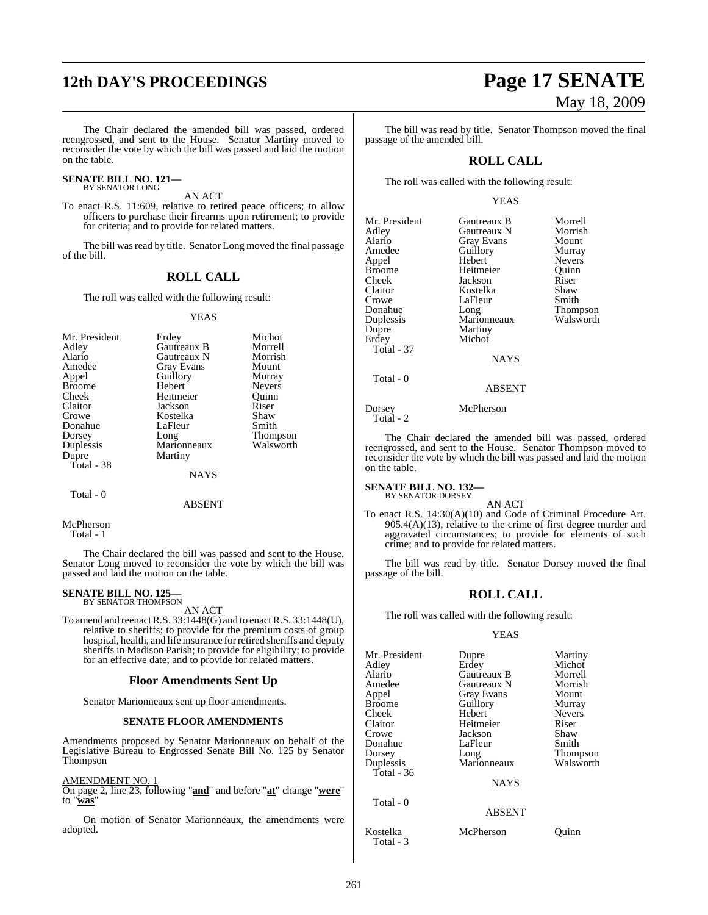# **12th DAY'S PROCEEDINGS Page 17 SENATE**

The Chair declared the amended bill was passed, ordered reengrossed, and sent to the House. Senator Martiny moved to reconsider the vote by which the bill was passed and laid the motion on the table.

#### **SENATE BILL NO. 121—** BY SENATOR LONG

AN ACT

To enact R.S. 11:609, relative to retired peace officers; to allow officers to purchase their firearms upon retirement; to provide for criteria; and to provide for related matters.

The bill was read by title. Senator Long moved the final passage of the bill.

#### **ROLL CALL**

The roll was called with the following result:

#### YEAS

| Mr. President | Erdey             | Michot          |
|---------------|-------------------|-----------------|
| Adley         | Gautreaux B       | Morrell         |
| Alario        | Gautreaux N       | Morrish         |
| Amedee        | <b>Gray Evans</b> | Mount           |
| Appel         | Guillory          | Murray          |
| <b>Broome</b> | Hebert            | <b>Nevers</b>   |
| Cheek         | Heitmeier         | Ouinn           |
| Claitor       | Jackson           | Riser           |
| Crowe         | Kostelka          | Shaw            |
| Donahue       | LaFleur           | Smith           |
| Dorsey        | Long              | <b>Thompson</b> |
| Duplessis     | Marionneaux       | Walsworth       |
| Dupre         | Martiny           |                 |
| Total - 38    |                   |                 |
|               | <b>NAYS</b>       |                 |

Total - 0

ABSENT

McPherson

Total - 1

The Chair declared the bill was passed and sent to the House. Senator Long moved to reconsider the vote by which the bill was passed and laid the motion on the table.

## **SENATE BILL NO. 125—** BY SENATOR THOMPSON

AN ACT

To amend and reenactR.S. 33:1448(G) and to enactR.S. 33:1448(U), relative to sheriffs; to provide for the premium costs of group hospital, health, and life insurance for retired sheriffs and deputy sheriffs in Madison Parish; to provide for eligibility; to provide for an effective date; and to provide for related matters.

#### **Floor Amendments Sent Up**

Senator Marionneaux sent up floor amendments.

#### **SENATE FLOOR AMENDMENTS**

Amendments proposed by Senator Marionneaux on behalf of the Legislative Bureau to Engrossed Senate Bill No. 125 by Senator **Thompson** 

#### AMENDMENT NO. 1

On page 2, line 23, following "**and**" and before "**at**" change "**were**" to "**was**"

On motion of Senator Marionneaux, the amendments were adopted.

# May 18, 2009

The bill was read by title. Senator Thompson moved the final passage of the amended bill.

#### **ROLL CALL**

The roll was called with the following result:

#### YEAS

| Mr. President | Gautreaux B       | Morrell         |
|---------------|-------------------|-----------------|
| Adley         | Gautreaux N       | Morrish         |
| Alario        | <b>Gray Evans</b> | Mount           |
| Amedee        | Guillory          | Murray          |
| Appel         | Hebert            | <b>Nevers</b>   |
| <b>Broome</b> | Heitmeier         | Ouinn           |
| Cheek         | Jackson           | Riser           |
| Claitor       | Kostelka          | Shaw            |
| Crowe         | LaFleur           | Smith           |
| Donahue       | Long              | <b>Thompson</b> |
| Duplessis     | Marionneaux       | Walsworth       |
| Dupre         | Martiny           |                 |
| Erdey         | Michot            |                 |
| Total - 37    |                   |                 |
|               | <b>NAYS</b>       |                 |
| Total - 0     |                   |                 |
|               | ABSENT            |                 |

Dorsey McPherson Total - 2

The Chair declared the amended bill was passed, ordered reengrossed, and sent to the House. Senator Thompson moved to reconsider the vote by which the bill was passed and laid the motion on the table.

#### **SENATE BILL NO. 132—**

BY SENATOR DORSEY AN ACT

To enact R.S. 14:30(A)(10) and Code of Criminal Procedure Art. 905.4(A)(13), relative to the crime of first degree murder and aggravated circumstances; to provide for elements of such crime; and to provide for related matters.

The bill was read by title. Senator Dorsey moved the final passage of the bill.

#### **ROLL CALL**

The roll was called with the following result:

#### YEAS

| Mr. President | Dupre              | Martiny         |
|---------------|--------------------|-----------------|
| Adley         | Erdey              | Michot          |
| Alario        | <b>Gautreaux B</b> | Morrell         |
| Amedee        | Gautreaux N        | Morrish         |
| Appel         | Gray Evans         | Mount           |
| <b>Broome</b> | Guillory           | Murray          |
| Cheek         | Hebert             | <b>Nevers</b>   |
| Claitor       | Heitmeier          | Riser           |
| Crowe         | Jackson            | Shaw            |
| Donahue       | LaFleur            | Smith           |
| Dorsey        | Long               | <b>Thompson</b> |
| Duplessis     | Marionneaux        | Walsworth       |
| Total - $36$  |                    |                 |
|               | <b>NAYS</b>        |                 |
| Total - 0     |                    |                 |
|               | <b>ABSENT</b>      |                 |
| Kostelka      | McPherson          | Ouinn           |

Total - 3

261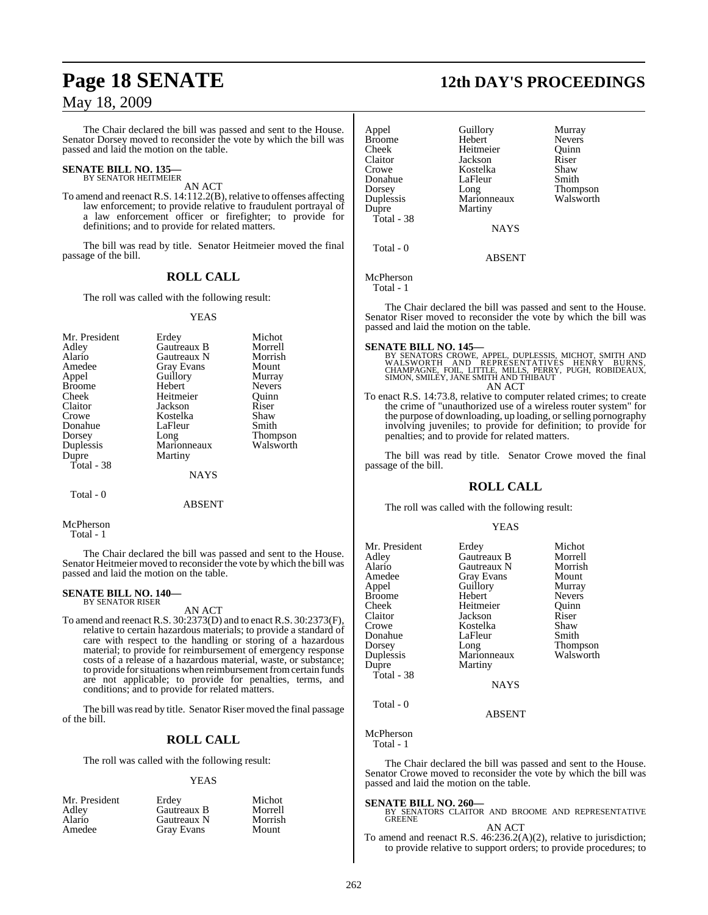The Chair declared the bill was passed and sent to the House. Senator Dorsey moved to reconsider the vote by which the bill was passed and laid the motion on the table.

## **SENATE BILL NO. 135—** BY SENATOR HEITMEIER

AN ACT

To amend and reenact R.S. 14:112.2(B), relative to offenses affecting law enforcement; to provide relative to fraudulent portrayal of a law enforcement officer or firefighter; to provide for definitions; and to provide for related matters.

The bill was read by title. Senator Heitmeier moved the final passage of the bill.

### **ROLL CALL**

The roll was called with the following result:

#### YEAS

| Mr. President | Erdey       | Michot          |
|---------------|-------------|-----------------|
| Adley         | Gautreaux B | Morrell         |
| Alario        | Gautreaux N | Morrish         |
| Amedee        | Gray Evans  | Mount           |
| Appel         | Guillory    | Murray          |
| <b>Broome</b> | Hebert      | <b>Nevers</b>   |
| Cheek         | Heitmeier   | Ouinn           |
| Claitor       | Jackson     | Riser           |
| Crowe         | Kostelka    | Shaw            |
| Donahue       | LaFleur     | Smith           |
| Dorsey        | Long        | <b>Thompson</b> |
| Duplessis     | Marionneaux | Walsworth       |
| Dupre         | Martiny     |                 |
| Total - 38    |             |                 |
|               | NAYS        |                 |

 $Total - 0$ 

ABSENT

McPherson

Total - 1

The Chair declared the bill was passed and sent to the House. Senator Heitmeier moved to reconsider the vote by which the bill was passed and laid the motion on the table.

## **SENATE BILL NO. 140—** BY SENATOR RISER

AN ACT

To amend and reenactR.S. 30:2373(D) and to enact R.S. 30:2373(F), relative to certain hazardous materials; to provide a standard of care with respect to the handling or storing of a hazardous material; to provide for reimbursement of emergency response costs of a release of a hazardous material, waste, or substance; to provide for situations when reimbursement from certain funds are not applicable; to provide for penalties, terms, and conditions; and to provide for related matters.

The bill was read by title. Senator Riser moved the final passage of the bill.

## **ROLL CALL**

The roll was called with the following result:

#### YEAS

| Mr. President | Erdev       | Michot  |
|---------------|-------------|---------|
| Adley         | Gautreaux B | Morrell |
| Alario        | Gautreaux N | Morrish |
| Amedee        | Gray Evans  | Mount   |

## **Page 18 SENATE 12th DAY'S PROCEEDINGS**

| Appel<br><b>Broome</b><br>Cheek<br>Claitor       | Guillory<br>Hebert<br>Heitmeier<br>Jackson<br>Kostelka | Murray<br><b>Nevers</b><br>Ouinn<br>Riser     |
|--------------------------------------------------|--------------------------------------------------------|-----------------------------------------------|
| Crowe<br>Donahue<br>Dorsey<br>Duplessis<br>Dupre | LaFleur<br>Long<br>Marionneaux<br>Martiny              | Shaw<br>Smith<br><b>Thompson</b><br>Walsworth |
| Total - 38                                       | <b>NAYS</b>                                            |                                               |
| $Total - 0$                                      |                                                        |                                               |

**ABSENT** 

McPherson

Total - 1

The Chair declared the bill was passed and sent to the House. Senator Riser moved to reconsider the vote by which the bill was passed and laid the motion on the table.

**SENATE BILL NO. 145—**<br>BY SENATORS CROWE, APPEL, DUPLESSIS, MICHOT, SMITH AND<br>WALSWORTH AND REPRESENTATIVES HENRY BURNS,<br>CHAMPAGNE, FOIL, LITTLE, MILLS, PERRY, PUGH, ROBIDEAUX,<br>SIMON, SMILEY, JANE SMITH AND THIBAUT AN ACT

To enact R.S. 14:73.8, relative to computer related crimes; to create the crime of "unauthorized use of a wireless router system" for the purpose of downloading, up loading, orselling pornography involving juveniles; to provide for definition; to provide for penalties; and to provide for related matters.

The bill was read by title. Senator Crowe moved the final passage of the bill.

#### **ROLL CALL**

The roll was called with the following result:

#### YEAS

| Mr. President<br>Adley<br>Alario<br>Amedee<br>Appel<br>Broome<br>Cheek<br>Claitor<br>Crowe<br>Donahue<br>Dorsey<br>Duplessis | Erdey<br>Gautreaux B<br>Gautreaux N<br>Gray Evans<br>Guillory<br>Hebert<br>Heitmeier<br>Jackson<br>Kostelka<br>LaFleur<br>Long<br>Marionneaux | Michot<br>Morrell<br>Morrish<br>Mount<br>Murray<br><b>Nevers</b><br>Quinn<br>Riser<br>Shaw<br>Smith<br>Walsworth |
|------------------------------------------------------------------------------------------------------------------------------|-----------------------------------------------------------------------------------------------------------------------------------------------|------------------------------------------------------------------------------------------------------------------|
|                                                                                                                              |                                                                                                                                               | Thompson                                                                                                         |
| Dupre<br>Total - 38                                                                                                          | Martiny                                                                                                                                       |                                                                                                                  |
|                                                                                                                              | <b>NAYS</b>                                                                                                                                   |                                                                                                                  |
| Total - 0                                                                                                                    |                                                                                                                                               |                                                                                                                  |

ABSENT

McPherson Total - 1

The Chair declared the bill was passed and sent to the House. Senator Crowe moved to reconsider the vote by which the bill was passed and laid the motion on the table.

## **SENATE BILL NO. 260—**

BY SENATORS CLAITOR AND BROOME AND REPRESENTATIVE GREENE AN ACT

To amend and reenact R.S. 46:236.2(A)(2), relative to jurisdiction; to provide relative to support orders; to provide procedures; to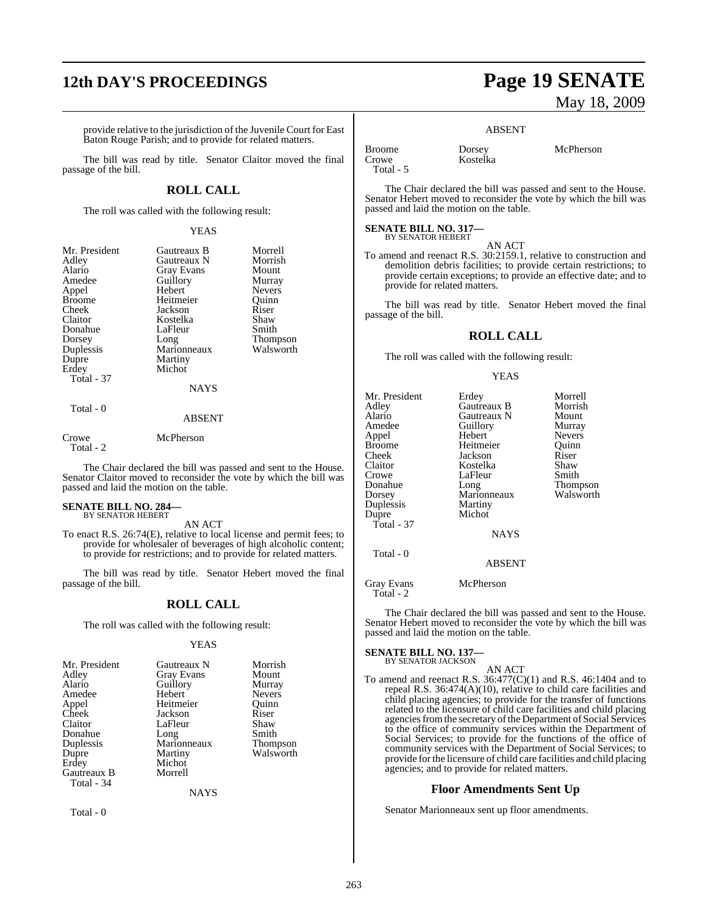# **12th DAY'S PROCEEDINGS Page 19 SENATE**

provide relative to the jurisdiction of the Juvenile Court for East Baton Rouge Parish; and to provide for related matters.

The bill was read by title. Senator Claitor moved the final passage of the bill.

#### **ROLL CALL**

The roll was called with the following result:

#### YEAS

| Mr. President<br>Adley<br>Alario<br>Amedee<br>Appel<br><b>Broome</b><br>Cheek<br>Claitor<br>Donahue<br>Dorsey<br>Duplessis<br>Dupre<br>Erdey<br><b>Total - 37</b> | Gautreaux B<br>Gautreaux N<br><b>Gray Evans</b><br>Guillory<br>Hebert<br>Heitmeier<br>Jackson<br>Kostelka<br>LaFleur<br>Long<br>Marionneaux<br>Martiny<br>Michot<br><b>NAYS</b> | Morrell<br>Morrish<br>Mount<br>Murray<br><b>Nevers</b><br>Ouinn<br>Riser<br>Shaw<br>Smith<br>Thompson<br>Walsworth |
|-------------------------------------------------------------------------------------------------------------------------------------------------------------------|---------------------------------------------------------------------------------------------------------------------------------------------------------------------------------|--------------------------------------------------------------------------------------------------------------------|
| Total - 0                                                                                                                                                         | <b>ABSENT</b>                                                                                                                                                                   |                                                                                                                    |

Crowe McPherson

Total - 2

The Chair declared the bill was passed and sent to the House. Senator Claitor moved to reconsider the vote by which the bill was passed and laid the motion on the table.

#### **SENATE BILL NO. 284—** BY SENATOR HEBERT

AN ACT

To enact R.S. 26:74(E), relative to local license and permit fees; to provide for wholesaler of beverages of high alcoholic content; to provide for restrictions; and to provide for related matters.

The bill was read by title. Senator Hebert moved the final passage of the bill.

#### **ROLL CALL**

The roll was called with the following result:

#### YEAS

| Mr. President<br>Adley<br>Alario<br>Amedee<br>Appel<br>Cheek<br>Claitor<br>Donahue<br>Duplessis<br>Dupre<br>Erdey | Gautreaux N<br><b>Gray Evans</b><br>Guillory<br>Hebert<br>Heitmeier<br>Jackson<br>LaFleur<br>Long<br>Marionneaux<br>Martiny<br>Michot | Morrish<br>Mount<br>Murray<br><b>Nevers</b><br>Ouinn<br>Riser<br>Shaw<br>Smith<br>Thompson<br>Walsworth |
|-------------------------------------------------------------------------------------------------------------------|---------------------------------------------------------------------------------------------------------------------------------------|---------------------------------------------------------------------------------------------------------|
| Gautreaux B<br>Total - 34                                                                                         | Morrell                                                                                                                               |                                                                                                         |

**NAYS** 

Total - 0

# May 18, 2009

#### ABSENT

Broome Dorsey McPherson<br>Crowe Kostelka Total - 5

The Chair declared the bill was passed and sent to the House. Senator Hebert moved to reconsider the vote by which the bill was passed and laid the motion on the table.

#### **SENATE BILL NO. 317—** BY SENATOR HEBERT

AN ACT

Kostelka

To amend and reenact R.S. 30:2159.1, relative to construction and demolition debris facilities; to provide certain restrictions; to provide certain exceptions; to provide an effective date; and to provide for related matters.

The bill was read by title. Senator Hebert moved the final passage of the bill.

#### **ROLL CALL**

The roll was called with the following result:

#### YEAS

| Gautreaux B<br>Gautreaux N<br>Guillory<br>Hebert<br>Heitmeier<br>Jackson<br>Kostelka<br>LaFleur<br>Long<br>Marionneaux<br>Martiny<br>Michot | Morrell<br>Morrish<br>Mount<br>Murray<br><b>Nevers</b><br>Ouinn<br>Riser<br>Shaw<br>Smith<br>Thompson<br>Walsworth |
|---------------------------------------------------------------------------------------------------------------------------------------------|--------------------------------------------------------------------------------------------------------------------|
| <b>NAYS</b>                                                                                                                                 |                                                                                                                    |
| <b>ABSENT</b>                                                                                                                               |                                                                                                                    |
|                                                                                                                                             | Erdey                                                                                                              |

Gray Evans McPherson Total - 2

The Chair declared the bill was passed and sent to the House. Senator Hebert moved to reconsider the vote by which the bill was passed and laid the motion on the table.

#### **SENATE BILL NO. 137—** BY SENATOR JACKSON

## AN ACT

To amend and reenact R.S. 36:477(C)(1) and R.S. 46:1404 and to repeal R.S. 36:474(A)(10), relative to child care facilities and child placing agencies; to provide for the transfer of functions related to the licensure of child care facilities and child placing agencies from the secretary of the Department of Social Services to the office of community services within the Department of Social Services; to provide for the functions of the office of community services with the Department of Social Services; to provide forthe licensure of child care facilities and child placing agencies; and to provide for related matters.

## **Floor Amendments Sent Up**

Senator Marionneaux sent up floor amendments.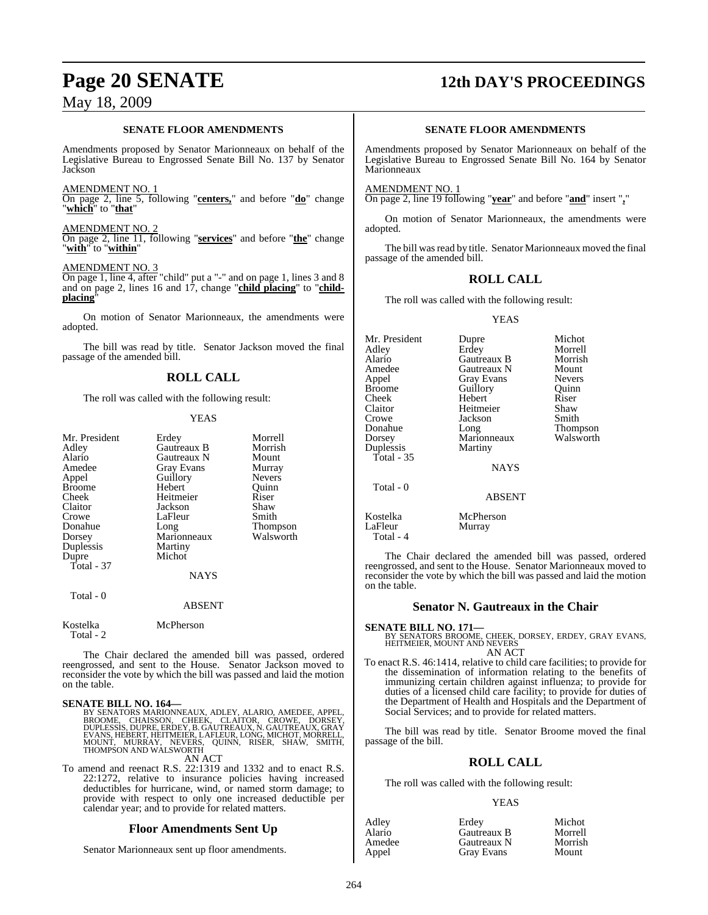#### **SENATE FLOOR AMENDMENTS**

Amendments proposed by Senator Marionneaux on behalf of the Legislative Bureau to Engrossed Senate Bill No. 137 by Senator Jackson

#### AMENDMENT NO. 1

On page 2, line 5, following "**centers,**" and before "**do**" change "**which**" to "**that**"

AMENDMENT NO. 2 On page 2, line 11, following "**services**" and before "**the**" change "**with**" to "**within**"

#### AMENDMENT NO. 3

On page 1, line 4, after "child" put a "-" and on page 1, lines 3 and 8 and on page 2, lines 16 and 17, change "**child placing**" to "**childplacing**"

On motion of Senator Marionneaux, the amendments were adopted.

The bill was read by title. Senator Jackson moved the final passage of the amended bill.

### **ROLL CALL**

The roll was called with the following result:

#### YEAS

| Mr. President<br>Adley<br>Alario<br>Amedee<br>Appel<br><b>Broome</b><br>Cheek<br>Claitor<br>Crowe<br>Donahue<br>Dorsey<br>Duplessis<br>Dupre<br>Total - 37 | Erdey<br>Gautreaux B<br>Gautreaux N<br><b>Gray Evans</b><br>Guillory<br>Hebert<br>Heitmeier<br>Jackson<br>LaFleur<br>Long<br>Marionneaux<br>Martiny<br>Michot<br><b>NAYS</b> | Morrell<br>Morrish<br>Mount<br>Murray<br><b>Nevers</b><br>Ouinn<br>Riser<br>Shaw<br>Smith<br>Thompson<br>Walsworth |
|------------------------------------------------------------------------------------------------------------------------------------------------------------|------------------------------------------------------------------------------------------------------------------------------------------------------------------------------|--------------------------------------------------------------------------------------------------------------------|
| Total - 0                                                                                                                                                  |                                                                                                                                                                              |                                                                                                                    |

#### ABSENT

#### Kostelka McPherson Total - 2

The Chair declared the amended bill was passed, ordered reengrossed, and sent to the House. Senator Jackson moved to reconsider the vote by which the bill was passed and laid the motion on the table.

#### **SENATE BILL NO. 164—**

BY SENATORS MARIONNEAUX, ADLEY, ALARIO, AMEDEE, APPEL,<br>BROOME, CHAISSON, CHEEK, CLAITOR, CROWE, DORSEY,<br>DUPLESSIS, DUPRE, ERDEY, B.GAUTREAUX,N. GAUTREAUX,GRAY<br>EVANS, HEBERT, HEITMEIER, LAFLEUR, LONG, MICHOT, MORRELL,<br>MOUNT THOMPSON AND WALSWORTH AN ACT

To amend and reenact R.S. 22:1319 and 1332 and to enact R.S. 22:1272, relative to insurance policies having increased deductibles for hurricane, wind, or named storm damage; to provide with respect to only one increased deductible per calendar year; and to provide for related matters.

#### **Floor Amendments Sent Up**

Senator Marionneaux sent up floor amendments.

# **Page 20 SENATE 12th DAY'S PROCEEDINGS**

#### **SENATE FLOOR AMENDMENTS**

Amendments proposed by Senator Marionneaux on behalf of the Legislative Bureau to Engrossed Senate Bill No. 164 by Senator Marionneaux

AMENDMENT NO.

On page 2, line 19 following "**year**" and before "**and**" insert "**,**"

On motion of Senator Marionneaux, the amendments were adopted.

The bill was read by title. Senator Marionneaux moved the final passage of the amended bill.

### **ROLL CALL**

The roll was called with the following result:

#### YEAS

| Mr. President<br>Adlev<br>Alario<br>Amedee<br>Appel<br><b>Broome</b><br>Cheek<br>Claitor | Dupre<br>Erdey<br>Gautreaux B<br>Gautreaux N<br><b>Gray Evans</b><br>Guillory<br>Hebert<br>Heitmeier | Michot<br>Morrell<br>Morrish<br>Mount<br><b>Nevers</b><br>Quinn<br>Riser<br>Shaw |
|------------------------------------------------------------------------------------------|------------------------------------------------------------------------------------------------------|----------------------------------------------------------------------------------|
| Crowe                                                                                    | Jackson                                                                                              | Smith                                                                            |
| Donahue<br>Dorsey<br>Duplessis                                                           | Long<br>Marionneaux                                                                                  | Thompson<br>Walsworth                                                            |
| Total - 35                                                                               | Martiny<br><b>NAYS</b>                                                                               |                                                                                  |
| Total - 0                                                                                | <b>ABSENT</b>                                                                                        |                                                                                  |
| Kostelka                                                                                 | McPherson                                                                                            |                                                                                  |

LaFleur Murray

Total - 4

The Chair declared the amended bill was passed, ordered reengrossed, and sent to the House. Senator Marionneaux moved to reconsider the vote by which the bill was passed and laid the motion on the table.

#### **Senator N. Gautreaux in the Chair**

## **SENATE BILL NO. 171—**

BY SENATORS BROOME, CHEEK, DORSEY, ERDEY, GRAY EVANS, HEITMEIER, MOUNT AND NEVERS AN ACT

To enact R.S. 46:1414, relative to child care facilities; to provide for the dissemination of information relating to the benefits of immunizing certain children against influenza; to provide for duties of a licensed child care facility; to provide for duties of the Department of Health and Hospitals and the Department of Social Services; and to provide for related matters.

The bill was read by title. Senator Broome moved the final passage of the bill.

## **ROLL CALL**

The roll was called with the following result:

#### YEAS

| Erdev       | Michot  |
|-------------|---------|
| Gautreaux B | Morrell |
| Gautreaux N | Morrish |
| Gray Evans  | Mount   |
|             |         |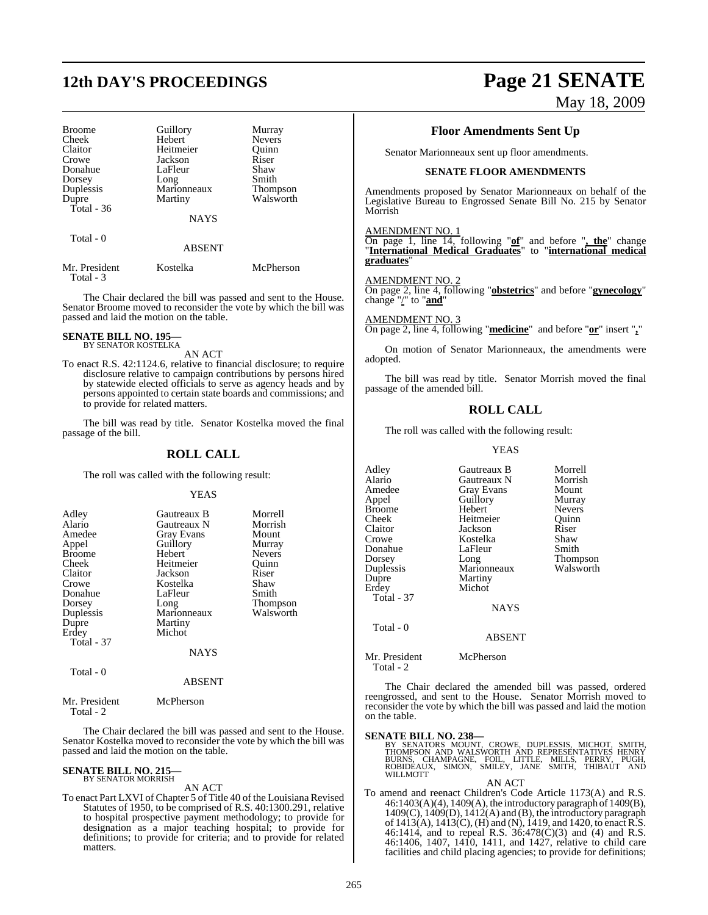# **12th DAY'S PROCEEDINGS Page 21 SENATE**

| <b>Broome</b><br>Cheek<br>Claitor<br>Crowe<br>Donahue<br>Dorsey<br>Duplessis<br>Dupre<br>Total - 36 | Guillory<br>Hebert<br>Heitmeier<br>Jackson<br>LaFleur<br>Long<br>Marionneaux<br>Martiny | Murray<br><b>Nevers</b><br>Ouinn<br>Riser<br>Shaw<br>Smith<br><b>Thompson</b><br>Walsworth |
|-----------------------------------------------------------------------------------------------------|-----------------------------------------------------------------------------------------|--------------------------------------------------------------------------------------------|
|                                                                                                     | <b>NAYS</b>                                                                             |                                                                                            |
| Total - 0                                                                                           | <b>ABSENT</b>                                                                           |                                                                                            |
| $\sim$                                                                                              | $T$ $T$ $T$ $T$ $T$ $T$                                                                 | <b>A C C</b>                                                                               |

Mr. President Kostelka McPherson Total - 3

The Chair declared the bill was passed and sent to the House. Senator Broome moved to reconsider the vote by which the bill was passed and laid the motion on the table.

#### **SENATE BILL NO. 195—** BY SENATOR KOSTELKA

AN ACT

To enact R.S. 42:1124.6, relative to financial disclosure; to require disclosure relative to campaign contributions by persons hired by statewide elected officials to serve as agency heads and by persons appointed to certain state boards and commissions; and to provide for related matters.

The bill was read by title. Senator Kostelka moved the final passage of the bill.

#### **ROLL CALL**

The roll was called with the following result:

#### YEAS

| Adley             | Gautreaux B | Morrell         |
|-------------------|-------------|-----------------|
| Alario            | Gautreaux N | Morrish         |
| Amedee            | Gray Evans  | Mount           |
| Appel             | Guillory    | Murray          |
| <b>Broome</b>     | Hebert      | Nevers          |
|                   | Heitmeier   |                 |
| Cheek             |             | Ouinn           |
| Claitor           | Jackson     | Riser           |
| Crowe             | Kostelka    | Shaw            |
| Donahue           | LaFleur     | Smith           |
| Dorsey            | Long        | <b>Thompson</b> |
| Duplessis         | Marionneaux | Walsworth       |
| Dupre             | Martiny     |                 |
| Erdey             | Michot      |                 |
| <b>Total - 37</b> |             |                 |
|                   | <b>NAYS</b> |                 |
| Total - 0         |             |                 |
|                   | ABSENT      |                 |

#### Mr. President McPherson  $Total - 2$

The Chair declared the bill was passed and sent to the House. Senator Kostelka moved to reconsider the vote by which the bill was passed and laid the motion on the table.

#### **SENATE BILL NO. 215—** BY SENATOR MORRISH

AN ACT

To enact Part LXVI of Chapter 5 of Title 40 of the Louisiana Revised Statutes of 1950, to be comprised of R.S. 40:1300.291, relative to hospital prospective payment methodology; to provide for designation as a major teaching hospital; to provide for definitions; to provide for criteria; and to provide for related matters.

# May 18, 2009

## **Floor Amendments Sent Up**

Senator Marionneaux sent up floor amendments.

#### **SENATE FLOOR AMENDMENTS**

Amendments proposed by Senator Marionneaux on behalf of the Legislative Bureau to Engrossed Senate Bill No. 215 by Senator Morrish

#### AMENDMENT NO. 1

On page 1, line 14, following "**of**" and before "**, the**" change "**International Medical Graduates**" to "**international medical graduates**"

#### AMENDMENT NO. 2

On page 2, line 4, following "**obstetrics**" and before "**gynecology**" change "/" to "**and**"

AMENDMENT NO. 3 On page 2, line 4, following "**medicine**" and before "**or**" insert "**,**"

On motion of Senator Marionneaux, the amendments were adopted.

The bill was read by title. Senator Morrish moved the final passage of the amended bill.

#### **ROLL CALL**

The roll was called with the following result:

#### YEAS

| Adley             | Gautreaux B   | Morrell       |
|-------------------|---------------|---------------|
| Alario            | Gautreaux N   | Morrish       |
| Amedee            | Gray Evans    | Mount         |
| Appel             | Guillory      | Murray        |
| Broome            | Hebert        | <b>Nevers</b> |
| Cheek             | Heitmeier     | Quinn         |
| Claitor           | Jackson       | Riser         |
| Crowe             | Kostelka      | Shaw          |
| Donahue           | LaFleur       | Smith         |
| Dorsey            | Long          | Thompson      |
| Duplessis         | Marionneaux   | Walsworth     |
| Dupre             | Martiny       |               |
| Erdey             | Michot        |               |
| <b>Total - 37</b> |               |               |
|                   | <b>NAYS</b>   |               |
| Total - 0         |               |               |
|                   | <b>ABSENT</b> |               |
| Mr. President     | McPherson     |               |

The Chair declared the amended bill was passed, ordered reengrossed, and sent to the House. Senator Morrish moved to reconsider the vote by which the bill was passed and laid the motion on the table.

Total - 2

SENATE BILL NO. 238—<br>
BY SENATORS MOUNT, CROWE, DUPLESSIS, MICHOT, SMITH, THOMPSON AND WALSWORTH AND REPRESENTATIVES HENRY<br>
BURNS, CHAMPAGNE, FOIL, LITTLE, MILLS, PERRY, PUGH,<br>
ROBIDEAUX, SIMON, SMILEY, JANE SMITH, THIBAUT AN ACT

To amend and reenact Children's Code Article 1173(A) and R.S. 46:1403(A)(4), 1409(A), the introductory paragraph of 1409(B),  $1409(C)$ ,  $1409(D)$ ,  $1412(A)$  and (B), the introductory paragraph of 1413(A), 1413(C), (H) and (N), 1419, and 1420, to enactR.S. 46:1414, and to repeal R.S. 36:478(C)(3) and (4) and R.S. 46:1406, 1407, 1410, 1411, and 1427, relative to child care facilities and child placing agencies; to provide for definitions;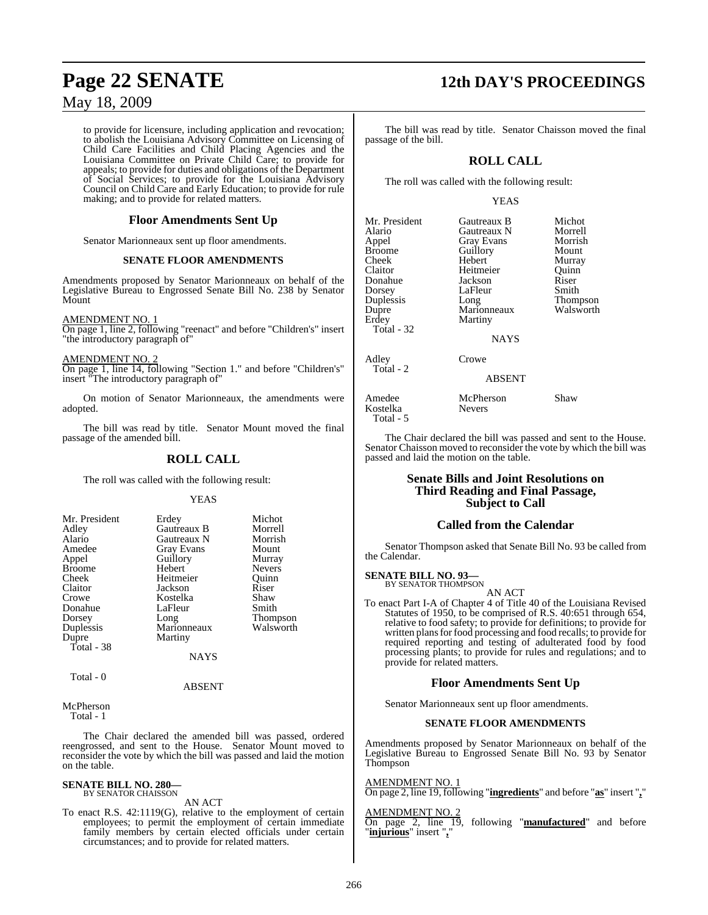to provide for licensure, including application and revocation; to abolish the Louisiana Advisory Committee on Licensing of Child Care Facilities and Child Placing Agencies and the Louisiana Committee on Private Child Care; to provide for appeals; to provide for duties and obligations of the Department of Social Services; to provide for the Louisiana Advisory Council on Child Care and Early Education; to provide for rule making; and to provide for related matters.

#### **Floor Amendments Sent Up**

Senator Marionneaux sent up floor amendments.

#### **SENATE FLOOR AMENDMENTS**

Amendments proposed by Senator Marionneaux on behalf of the Legislative Bureau to Engrossed Senate Bill No. 238 by Senator Mount

AMENDMENT NO. 1

On page 1, line 2, following "reenact" and before "Children's" insert "the introductory paragraph of"

AMENDMENT NO. 2

On page 1, line 14, following "Section 1." and before "Children's" insert "The introductory paragraph of"

On motion of Senator Marionneaux, the amendments were adopted.

The bill was read by title. Senator Mount moved the final passage of the amended bill.

### **ROLL CALL**

The roll was called with the following result:

#### YEAS

| Mr. President<br>Adley<br>Alario<br>Amedee<br>Appel<br><b>Broome</b><br>Cheek<br>Claitor<br>Crowe<br>Donahue<br>Dorsey<br>Duplessis<br>Dupre<br>Total - 38 | Erdey<br>Gautreaux B<br>Gautreaux N<br><b>Gray Evans</b><br>Guillory<br>Hebert<br>Heitmeier<br>Jackson<br>Kostelka<br>LaFleur<br>Long<br>Marionneaux<br>Martiny | Michot<br>Morrell<br>Morrish<br>Mount<br>Murray<br><b>Nevers</b><br>Ouinn<br>Riser<br>Shaw<br>Smith<br>Thompson<br>Walsworth |
|------------------------------------------------------------------------------------------------------------------------------------------------------------|-----------------------------------------------------------------------------------------------------------------------------------------------------------------|------------------------------------------------------------------------------------------------------------------------------|
| Total - 0                                                                                                                                                  | <b>NAYS</b>                                                                                                                                                     |                                                                                                                              |

ABSENT

McPherson Total - 1

The Chair declared the amended bill was passed, ordered reengrossed, and sent to the House. Senator Mount moved to reconsider the vote by which the bill was passed and laid the motion on the table.

## **SENATE BILL NO. 280—** BY SENATOR CHAISSON

AN ACT

To enact R.S. 42:1119(G), relative to the employment of certain employees; to permit the employment of certain immediate family members by certain elected officials under certain circumstances; and to provide for related matters.

## **Page 22 SENATE 12th DAY'S PROCEEDINGS**

The bill was read by title. Senator Chaisson moved the final passage of the bill.

## **ROLL CALL**

The roll was called with the following result:

#### YEAS

| Mr. President |
|---------------|
| Alario        |
| Appel         |
| Broome        |
| Cheek         |
| Claitor       |
| Donahue       |
| Dorsey        |
| Duplessis     |
| Dupre         |
| Erdey         |
| Total - 32    |
|               |

Total - 2

Gautreaux B Michot<br>Gautreaux N Morrell Gautreaux N Morrell<br>
Gray Evans Morrish Gray Evans Morrish<br>
Guillory Mount Guillory<br>Hebert Heitmeier Quinn<br>
Jackson Riser Jackson Riser<br>LaFleur Smith LaFleur Long Thompson<br>Marionneaux Walsworth Marionneaux Martiny

**NAYS** 

Adley Crowe

ABSENT

Amedee McPherson Shaw Kostelka Total - 5

Murray<br>Quinn

The Chair declared the bill was passed and sent to the House. Senator Chaisson moved to reconsider the vote by which the bill was passed and laid the motion on the table.

#### **Senate Bills and Joint Resolutions on Third Reading and Final Passage, Subject to Call**

#### **Called from the Calendar**

Senator Thompson asked that Senate Bill No. 93 be called from the Calendar.

**SENATE BILL NO. 93—** BY SENATOR THOMPSON

AN ACT

To enact Part I-A of Chapter 4 of Title 40 of the Louisiana Revised Statutes of 1950, to be comprised of R.S. 40:651 through 654, relative to food safety; to provide for definitions; to provide for written plans for food processing and food recalls; to provide for required reporting and testing of adulterated food by food processing plants; to provide for rules and regulations; and to provide for related matters.

#### **Floor Amendments Sent Up**

Senator Marionneaux sent up floor amendments.

#### **SENATE FLOOR AMENDMENTS**

Amendments proposed by Senator Marionneaux on behalf of the Legislative Bureau to Engrossed Senate Bill No. 93 by Senator Thompson

AMENDMENT NO. 1

On page 2, line 19, following "**ingredients**" and before "**as**" insert "**,**"

#### AMENDMENT NO. 2

On page 2, line 19, following "**manufactured**" and before "**injurious**" insert "**,**"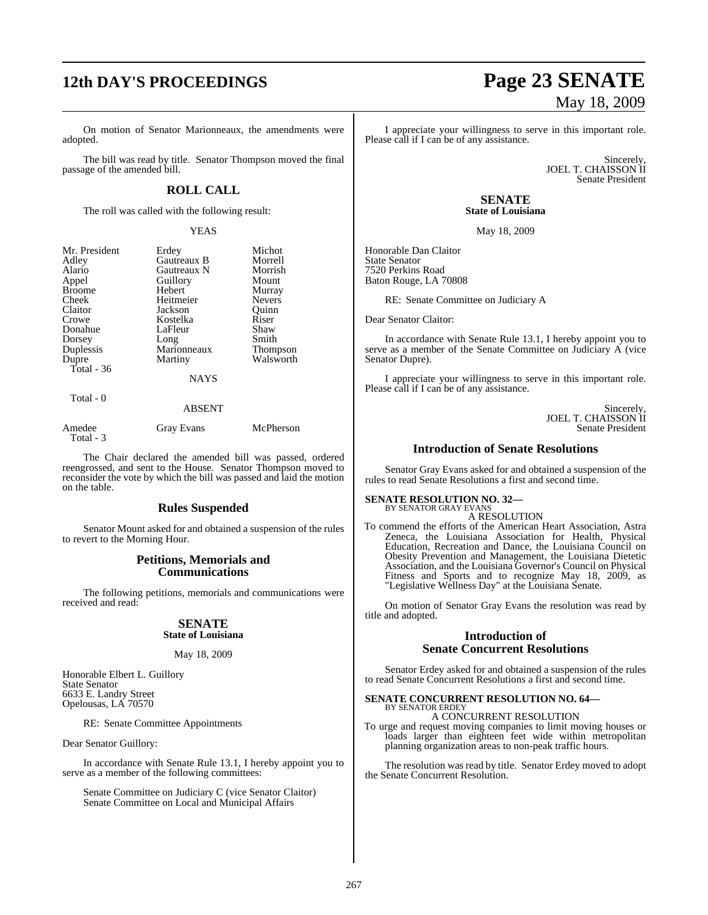# **12th DAY'S PROCEEDINGS Page 23 SENATE**

On motion of Senator Marionneaux, the amendments were adopted.

The bill was read by title. Senator Thompson moved the final passage of the amended bill.

### **ROLL CALL**

The roll was called with the following result:

#### YEAS

| Mr. President | Erdey       | Michot          |
|---------------|-------------|-----------------|
| Adley         | Gautreaux B | Morrell         |
| Alario        | Gautreaux N | Morrish         |
| Appel         | Guillory    | Mount           |
| <b>Broome</b> | Hebert      | Murray          |
| Cheek         | Heitmeier   | <b>Nevers</b>   |
| Claitor       | Jackson     | Ouinn           |
| Crowe         | Kostelka    | Riser           |
| Donahue       | LaFleur     | Shaw            |
| Dorsey        | Long        | Smith           |
| Duplessis     | Marionneaux | <b>Thompson</b> |
| Dupre         | Martiny     | Walsworth       |
| Total - 36    |             |                 |
|               | NAYS        |                 |

Total - 0

## ABSENT

| Amedee    | <b>Gray Evans</b> | McPherson |
|-----------|-------------------|-----------|
| Total - 3 |                   |           |

The Chair declared the amended bill was passed, ordered reengrossed, and sent to the House. Senator Thompson moved to reconsider the vote by which the bill was passed and laid the motion on the table.

#### **Rules Suspended**

Senator Mount asked for and obtained a suspension of the rules to revert to the Morning Hour.

#### **Petitions, Memorials and Communications**

The following petitions, memorials and communications were received and read:

#### **SENATE State of Louisiana**

#### May 18, 2009

Honorable Elbert L. Guillory State Senator 6633 E. Landry Street Opelousas, LA 70570

RE: Senate Committee Appointments

Dear Senator Guillory:

In accordance with Senate Rule 13.1, I hereby appoint you to serve as a member of the following committees:

Senate Committee on Judiciary C (vice Senator Claitor) Senate Committee on Local and Municipal Affairs

# May 18, 2009

I appreciate your willingness to serve in this important role. Please call if I can be of any assistance.

> Sincerely, JOEL T. CHAISSON II Senate President

**SENATE State of Louisiana**

May 18, 2009

Honorable Dan Claitor State Senator 7520 Perkins Road Baton Rouge, LA 70808

RE: Senate Committee on Judiciary A

Dear Senator Claitor:

In accordance with Senate Rule 13.1, I hereby appoint you to serve as a member of the Senate Committee on Judiciary A (vice Senator Dupre).

I appreciate your willingness to serve in this important role. Please call if I can be of any assistance.

> **Sincerely** JOEL T. CHAISSON II Senate President

### **Introduction of Senate Resolutions**

Senator Gray Evans asked for and obtained a suspension of the rules to read Senate Resolutions a first and second time.

#### **SENATE RESOLUTION NO. 32—**

#### BY SENATOR GRAY EVANS A RESOLUTION

To commend the efforts of the American Heart Association, Astra Zeneca, the Louisiana Association for Health, Physical Education, Recreation and Dance, the Louisiana Council on Obesity Prevention and Management, the Louisiana Dietetic Association, and the Louisiana Governor's Council on Physical Fitness and Sports and to recognize May 18, 2009, as "Legislative Wellness Day" at the Louisiana Senate.

On motion of Senator Gray Evans the resolution was read by title and adopted.

#### **Introduction of Senate Concurrent Resolutions**

Senator Erdey asked for and obtained a suspension of the rules to read Senate Concurrent Resolutions a first and second time.

#### **SENATE CONCURRENT RESOLUTION NO. 64—** BY SENATOR ERDEY

#### A CONCURRENT RESOLUTION

To urge and request moving companies to limit moving houses or loads larger than eighteen feet wide within metropolitan planning organization areas to non-peak traffic hours.

The resolution was read by title. Senator Erdey moved to adopt the Senate Concurrent Resolution.